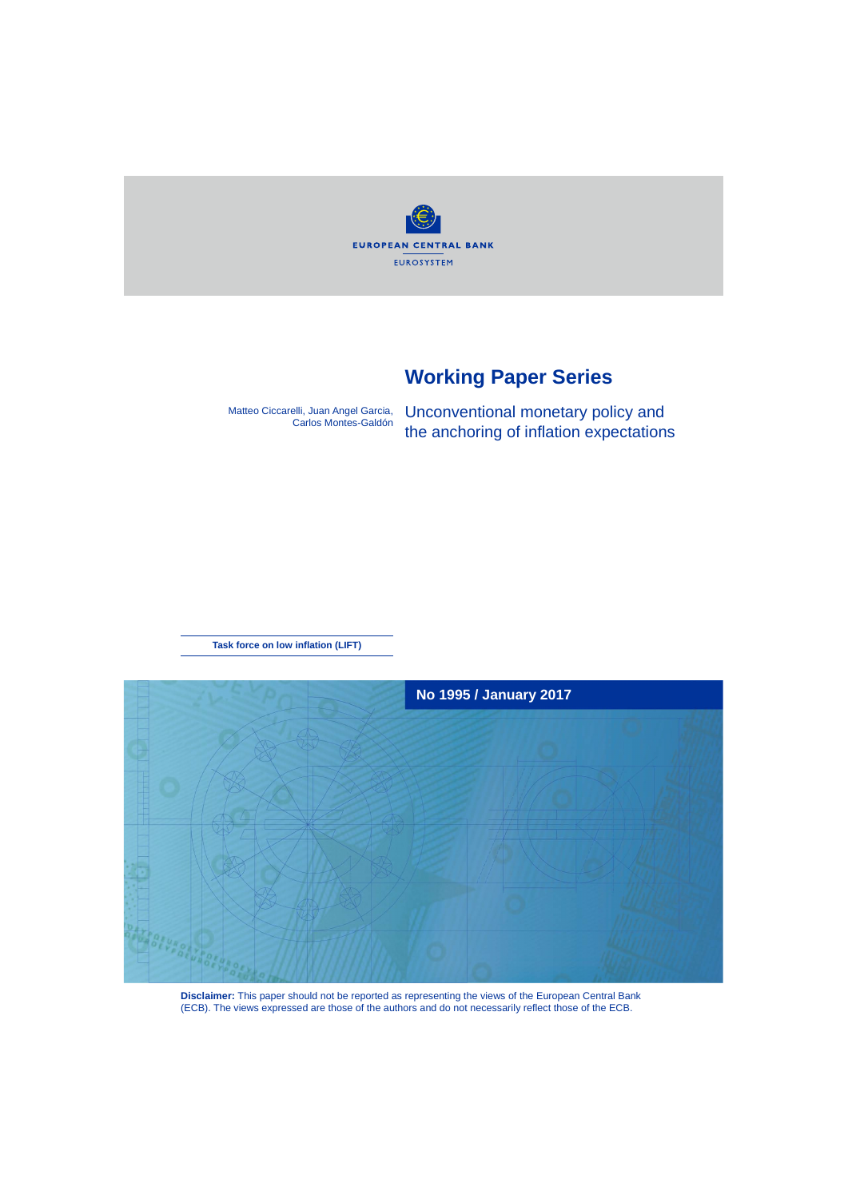**EUROPEAN CENTRAL BANK EUROSYSTEM** 

# **Working Paper Series**

Matteo Ciccarelli, Juan Angel Garcia, Carlos Montes-Galdón Unconventional monetary policy and the anchoring of inflation expectations

**Task force on low inflation (LIFT)**



**Disclaimer:** This paper should not be reported as representing the views of the European Central Bank (ECB). The views expressed are those of the authors and do not necessarily reflect those of the ECB.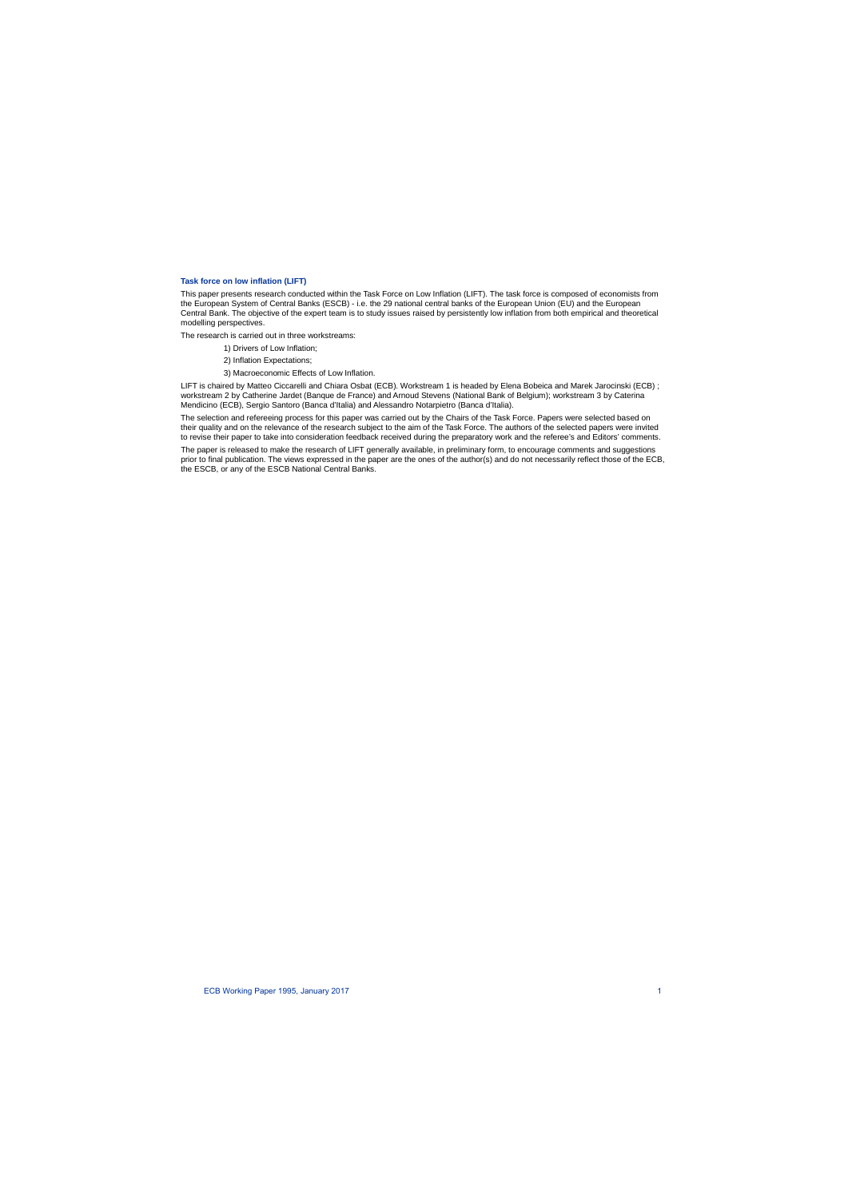#### **Task force on low inflation (LIFT)**

This paper presents research conducted within the Task Force on Low Inflation (LIFT). The task force is composed of economists from the European System of Central Banks (ESCB) - i.e. the 29 national central banks of the European Union (EU) and the European Central Bank. The objective of the expert team is to study issues raised by persistently low inflation from both empirical and theoretical modelling perspectives.

The research is carried out in three workstreams:

- 1) Drivers of Low Inflation;
- 2) Inflation Expectations;
- 3) Macroeconomic Effects of Low Inflation.

LIFT is chaired by Matteo Ciccarelli and Chiara Osbat (ECB). Workstream 1 is headed by Elena Bobeica and Marek Jarocinski (ECB) ; workstream 2 by Catherine Jardet (Banque de France) and Arnoud Stevens (National Bank of Belgium); workstream 3 by Caterina Mendicino (ECB), Sergio Santoro (Banca d'Italia) and Alessandro Notarpietro (Banca d'Italia).

The selection and refereeing process for this paper was carried out by the Chairs of the Task Force. Papers were selected based on their quality and on the relevance of the research subject to the aim of the Task Force. The authors of the selected papers were invited to revise their paper to take into consideration feedback received during the preparatory work and the referee's and Editors' comments.

The paper is released to make the research of LIFT generally available, in preliminary form, to encourage comments and suggestions prior to final publication. The views expressed in the paper are the ones of the author(s) and do not necessarily reflect those of the ECB, the ESCB, or any of the ESCB National Central Banks.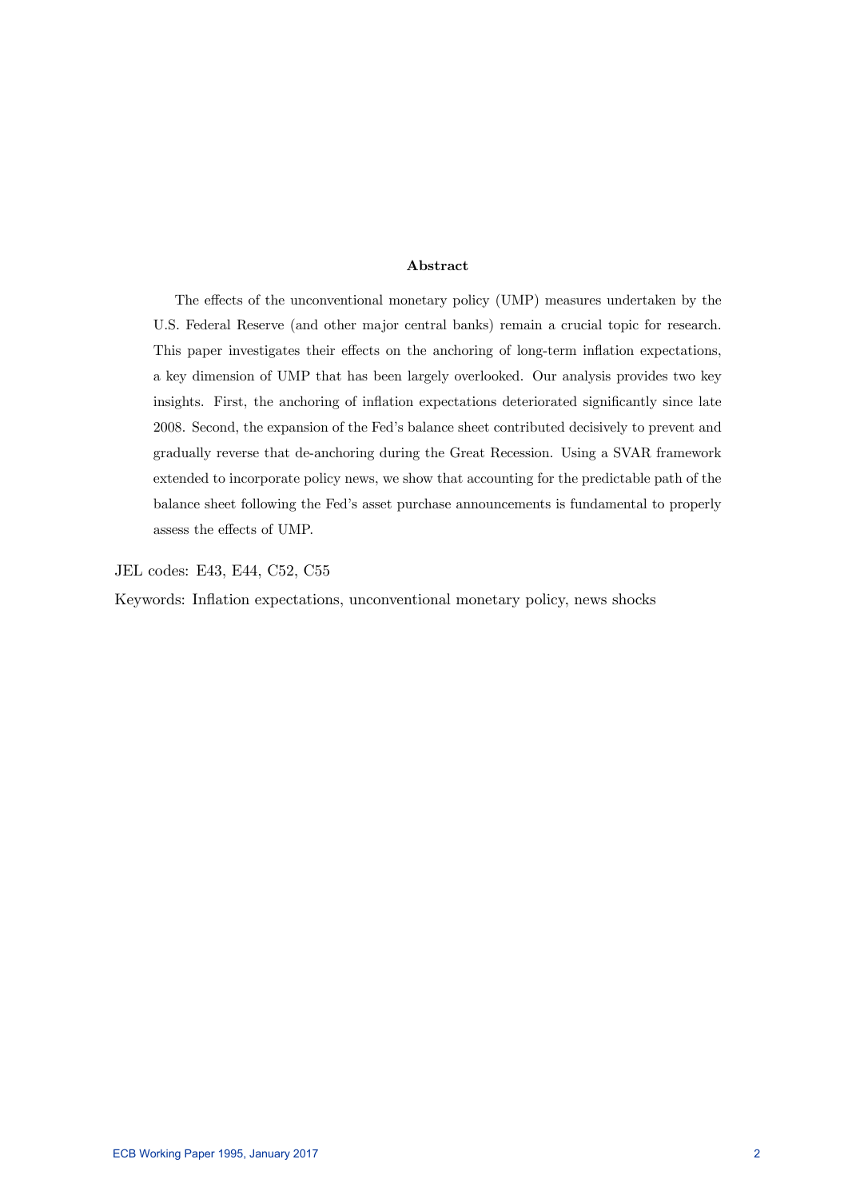#### Abstract

The effects of the unconventional monetary policy (UMP) measures undertaken by the U.S. Federal Reserve (and other major central banks) remain a crucial topic for research. This paper investigates their effects on the anchoring of long-term inflation expectations, a key dimension of UMP that has been largely overlooked. Our analysis provides two key insights. First, the anchoring of inflation expectations deteriorated significantly since late 2008. Second, the expansion of the Fed's balance sheet contributed decisively to prevent and gradually reverse that de-anchoring during the Great Recession. Using a SVAR framework extended to incorporate policy news, we show that accounting for the predictable path of the balance sheet following the Fed's asset purchase announcements is fundamental to properly assess the effects of UMP.

JEL codes: E43, E44, C52, C55

Keywords: Inflation expectations, unconventional monetary policy, news shocks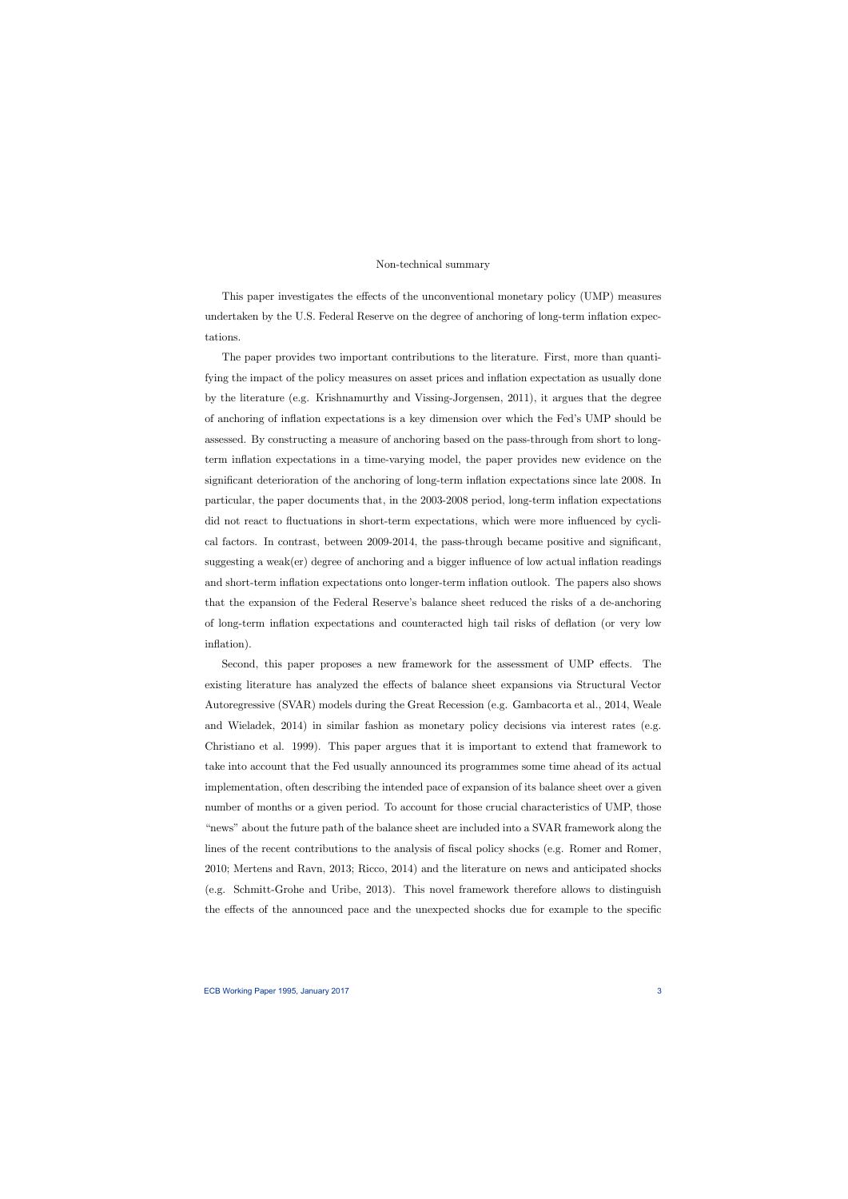#### Non-technical summary

This paper investigates the effects of the unconventional monetary policy (UMP) measures undertaken by the U.S. Federal Reserve on the degree of anchoring of long-term inflation expectations.

The paper provides two important contributions to the literature. First, more than quantifying the impact of the policy measures on asset prices and inflation expectation as usually done by the literature (e.g. Krishnamurthy and Vissing-Jorgensen, 2011), it argues that the degree of anchoring of inflation expectations is a key dimension over which the Fed's UMP should be assessed. By constructing a measure of anchoring based on the pass-through from short to longterm inflation expectations in a time-varying model, the paper provides new evidence on the significant deterioration of the anchoring of long-term inflation expectations since late 2008. In particular, the paper documents that, in the 2003-2008 period, long-term inflation expectations did not react to fluctuations in short-term expectations, which were more influenced by cyclical factors. In contrast, between 2009-2014, the pass-through became positive and significant, suggesting a weak(er) degree of anchoring and a bigger influence of low actual inflation readings and short-term inflation expectations onto longer-term inflation outlook. The papers also shows that the expansion of the Federal Reserve's balance sheet reduced the risks of a de-anchoring of long-term inflation expectations and counteracted high tail risks of deflation (or very low inflation).

Second, this paper proposes a new framework for the assessment of UMP effects. The existing literature has analyzed the effects of balance sheet expansions via Structural Vector Autoregressive (SVAR) models during the Great Recession (e.g. Gambacorta et al., 2014, Weale and Wieladek, 2014) in similar fashion as monetary policy decisions via interest rates (e.g. Christiano et al. 1999). This paper argues that it is important to extend that framework to take into account that the Fed usually announced its programmes some time ahead of its actual implementation, often describing the intended pace of expansion of its balance sheet over a given number of months or a given period. To account for those crucial characteristics of UMP, those "news" about the future path of the balance sheet are included into a SVAR framework along the lines of the recent contributions to the analysis of fiscal policy shocks (e.g. Romer and Romer, 2010; Mertens and Ravn, 2013; Ricco, 2014) and the literature on news and anticipated shocks (e.g. Schmitt-Grohe and Uribe, 2013). This novel framework therefore allows to distinguish the effects of the announced pace and the unexpected shocks due for example to the specific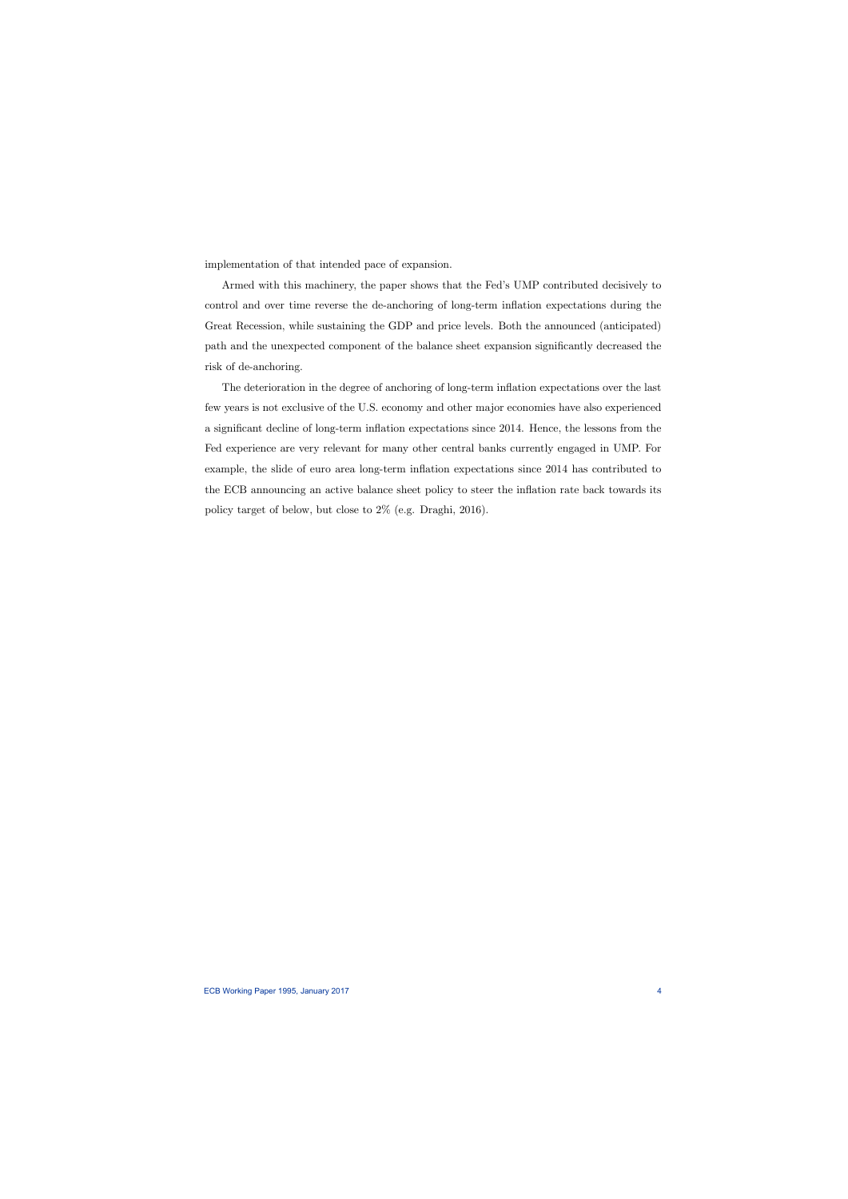implementation of that intended pace of expansion.

Armed with this machinery, the paper shows that the Fed's UMP contributed decisively to control and over time reverse the de-anchoring of long-term inflation expectations during the Great Recession, while sustaining the GDP and price levels. Both the announced (anticipated) path and the unexpected component of the balance sheet expansion significantly decreased the risk of de-anchoring.

The deterioration in the degree of anchoring of long-term inflation expectations over the last few years is not exclusive of the U.S. economy and other major economies have also experienced a significant decline of long-term inflation expectations since 2014. Hence, the lessons from the Fed experience are very relevant for many other central banks currently engaged in UMP. For example, the slide of euro area long-term inflation expectations since 2014 has contributed to the ECB announcing an active balance sheet policy to steer the inflation rate back towards its policy target of below, but close to 2% (e.g. Draghi, 2016).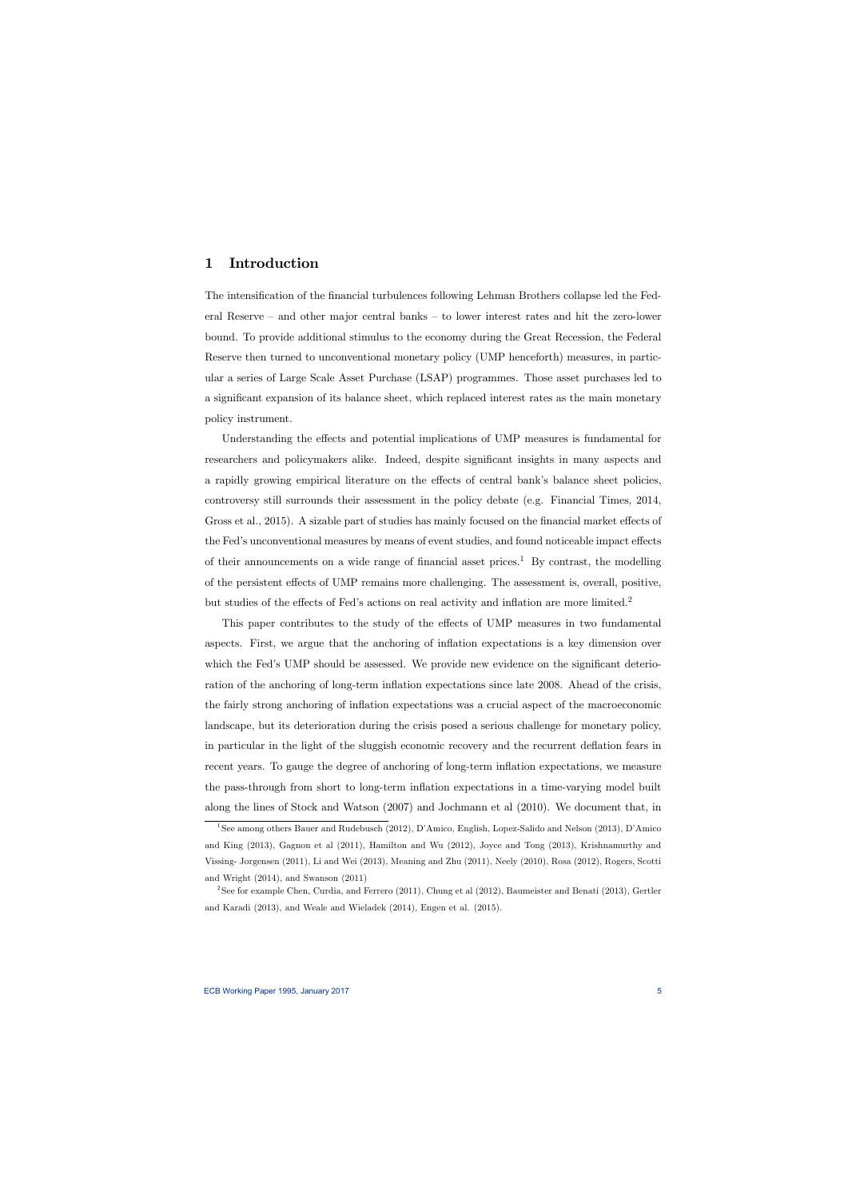# 1 Introduction

The intensification of the financial turbulences following Lehman Brothers collapse led the Federal Reserve — and other major central banks — to lower interest rates and hit the zero-lower bound. To provide additional stimulus to the economy during the Great Recession, the Federal Reserve then turned to unconventional monetary policy (UMP henceforth) measures, in particular a series of Large Scale Asset Purchase (LSAP) programmes. Those asset purchases led to a significant expansion of its balance sheet, which replaced interest rates as the main monetary policy instrument.

Understanding the effects and potential implications of UMP measures is fundamental for researchers and policymakers alike. Indeed, despite significant insights in many aspects and a rapidly growing empirical literature on the effects of central bank's balance sheet policies, controversy still surrounds their assessment in the policy debate (e.g. Financial Times, 2014, Gross et al., 2015). A sizable part of studies has mainly focused on the financial market effects of the Fed's unconventional measures by means of event studies, and found noticeable impact effects of their announcements on a wide range of financial asset prices.<sup>1</sup> By contrast, the modelling of the persistent effects of UMP remains more challenging. The assessment is, overall, positive, but studies of the effects of Fed's actions on real activity and inflation are more limited.<sup>2</sup>

This paper contributes to the study of the effects of UMP measures in two fundamental aspects. First, we argue that the anchoring of inflation expectations is a key dimension over which the Fed's UMP should be assessed. We provide new evidence on the significant deterioration of the anchoring of long-term inflation expectations since late 2008. Ahead of the crisis, the fairly strong anchoring of inflation expectations was a crucial aspect of the macroeconomic landscape, but its deterioration during the crisis posed a serious challenge for monetary policy, in particular in the light of the sluggish economic recovery and the recurrent deflation fears in recent years. To gauge the degree of anchoring of long-term inflation expectations, we measure the pass-through from short to long-term inflation expectations in a time-varying model built along the lines of Stock and Watson (2007) and Jochmann et al (2010). We document that, in

<sup>1</sup>See among others Bauer and Rudebusch (2012), D'Amico, English, Lopez-Salido and Nelson (2013), D'Amico and King (2013), Gagnon et al (2011), Hamilton and Wu (2012), Joyce and Tong (2013), Krishnamurthy and Vissing- Jorgensen (2011), Li and Wei (2013), Meaning and Zhu (2011), Neely (2010), Rosa (2012), Rogers, Scotti and Wright (2014), and Swanson (2011)

<sup>&</sup>lt;sup>2</sup>See for example Chen, Curdia, and Ferrero (2011), Chung et al (2012), Baumeister and Benati (2013), Gertler and Karadi (2013), and Weale and Wieladek (2014), Engen et al. (2015).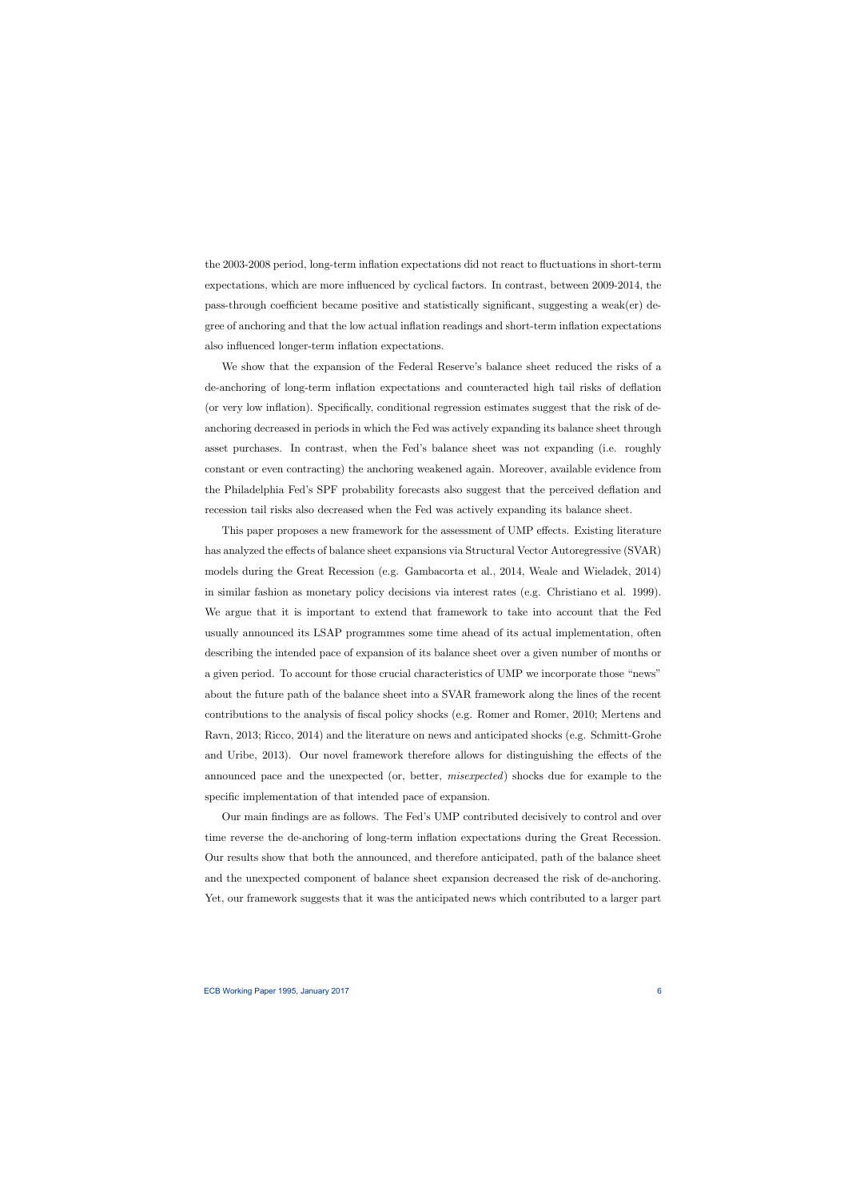the 2003-2008 period, long-term inflation expectations did not react to fluctuations in short-term expectations, which are more influenced by cyclical factors. In contrast, between 2009-2014, the pass-through coefficient became positive and statistically significant, suggesting a weak(er) degree of anchoring and that the low actual inflation readings and short-term inflation expectations also influenced longer-term inflation expectations.

We show that the expansion of the Federal Reserve's balance sheet reduced the risks of a de-anchoring of long-term inflation expectations and counteracted high tail risks of deflation (or very low inflation). Specifically, conditional regression estimates suggest that the risk of deanchoring decreased in periods in which the Fed was actively expanding its balance sheet through asset purchases. In contrast, when the Fed's balance sheet was not expanding (i.e. roughly constant or even contracting) the anchoring weakened again. Moreover, available evidence from the Philadelphia Fed's SPF probability forecasts also suggest that the perceived deflation and recession tail risks also decreased when the Fed was actively expanding its balance sheet.

This paper proposes a new framework for the assessment of UMP effects. Existing literature has analyzed the effects of balance sheet expansions via Structural Vector Autoregressive (SVAR) models during the Great Recession (e.g. Gambacorta et al., 2014, Weale and Wieladek, 2014) in similar fashion as monetary policy decisions via interest rates (e.g. Christiano et al. 1999). We argue that it is important to extend that framework to take into account that the Fed usually announced its LSAP programmes some time ahead of its actual implementation, often describing the intended pace of expansion of its balance sheet over a given number of months or a given period. To account for those crucial characteristics of UMP we incorporate those "news" about the future path of the balance sheet into a SVAR framework along the lines of the recent contributions to the analysis of fiscal policy shocks (e.g. Romer and Romer, 2010; Mertens and Ravn, 2013; Ricco, 2014) and the literature on news and anticipated shocks (e.g. Schmitt-Grohe and Uribe, 2013). Our novel framework therefore allows for distinguishing the effects of the announced pace and the unexpected (or, better, misexpected) shocks due for example to the specific implementation of that intended pace of expansion.

Our main findings are as follows. The Fed's UMP contributed decisively to control and over time reverse the de-anchoring of long-term inflation expectations during the Great Recession. Our results show that both the announced, and therefore anticipated, path of the balance sheet and the unexpected component of balance sheet expansion decreased the risk of de-anchoring. Yet, our framework suggests that it was the anticipated news which contributed to a larger part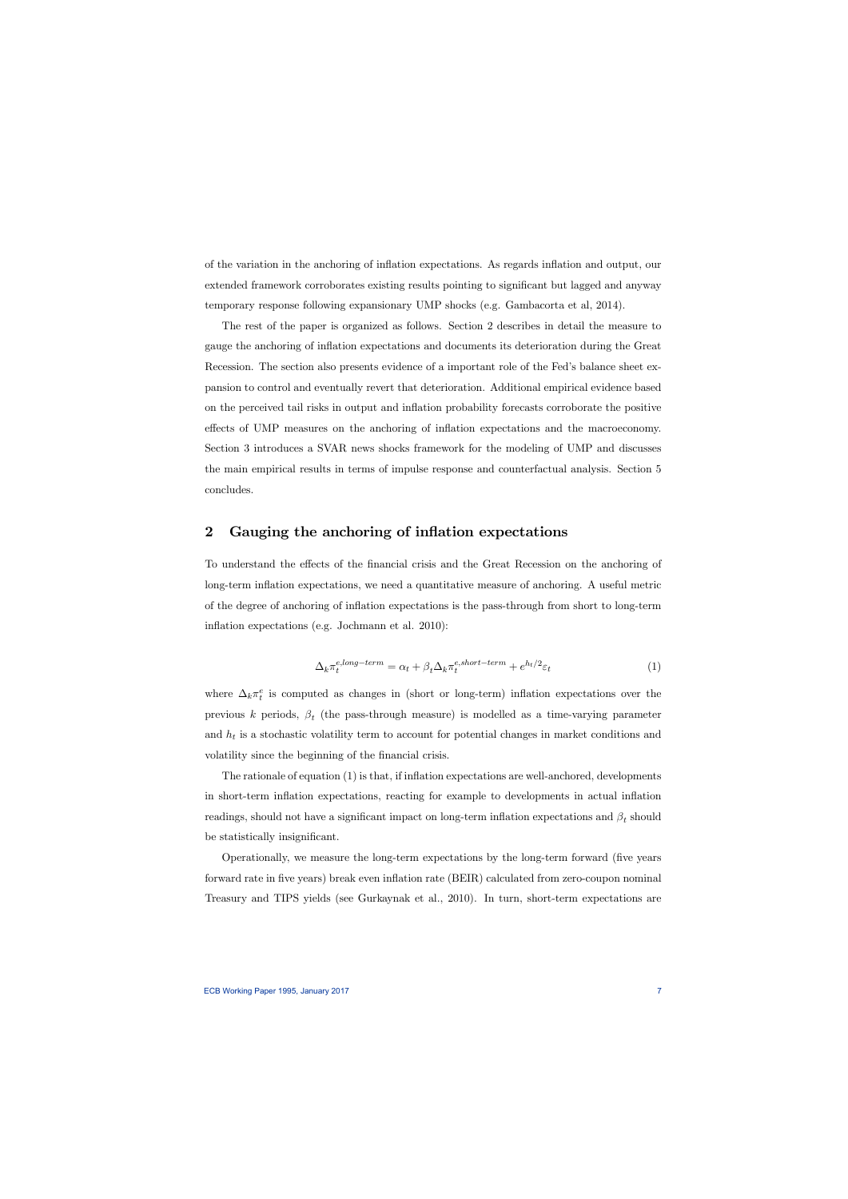of the variation in the anchoring of inflation expectations. As regards inflation and output, our extended framework corroborates existing results pointing to significant but lagged and anyway temporary response following expansionary UMP shocks (e.g. Gambacorta et al, 2014).

The rest of the paper is organized as follows. Section 2 describes in detail the measure to gauge the anchoring of inflation expectations and documents its deterioration during the Great Recession. The section also presents evidence of a important role of the Fed's balance sheet expansion to control and eventually revert that deterioration. Additional empirical evidence based on the perceived tail risks in output and inflation probability forecasts corroborate the positive effects of UMP measures on the anchoring of inflation expectations and the macroeconomy. Section 3 introduces a SVAR news shocks framework for the modeling of UMP and discusses the main empirical results in terms of impulse response and counterfactual analysis. Section 5 concludes.

# 2 Gauging the anchoring of inflation expectations

To understand the effects of the financial crisis and the Great Recession on the anchoring of long-term inflation expectations, we need a quantitative measure of anchoring. A useful metric of the degree of anchoring of inflation expectations is the pass-through from short to long-term inflation expectations (e.g. Jochmann et al. 2010):

$$
\Delta_k \pi_t^{e, long-term} = \alpha_t + \beta_t \Delta_k \pi_t^{e, short-term} + e^{h_t/2} \varepsilon_t \tag{1}
$$

where  $\Delta_k \pi_t^e$  is computed as changes in (short or long-term) inflation expectations over the previous k periods,  $\beta_t$  (the pass-through measure) is modelled as a time-varying parameter and  $h_t$  is a stochastic volatility term to account for potential changes in market conditions and volatility since the beginning of the financial crisis.

The rationale of equation (1) is that, if inflation expectations are well-anchored, developments in short-term inflation expectations, reacting for example to developments in actual inflation readings, should not have a significant impact on long-term inflation expectations and  $\beta_t$  should be statistically insignificant.

Operationally, we measure the long-term expectations by the long-term forward (five years forward rate in five years) break even inflation rate (BEIR) calculated from zero-coupon nominal Treasury and TIPS yields (see Gurkaynak et al., 2010). In turn, short-term expectations are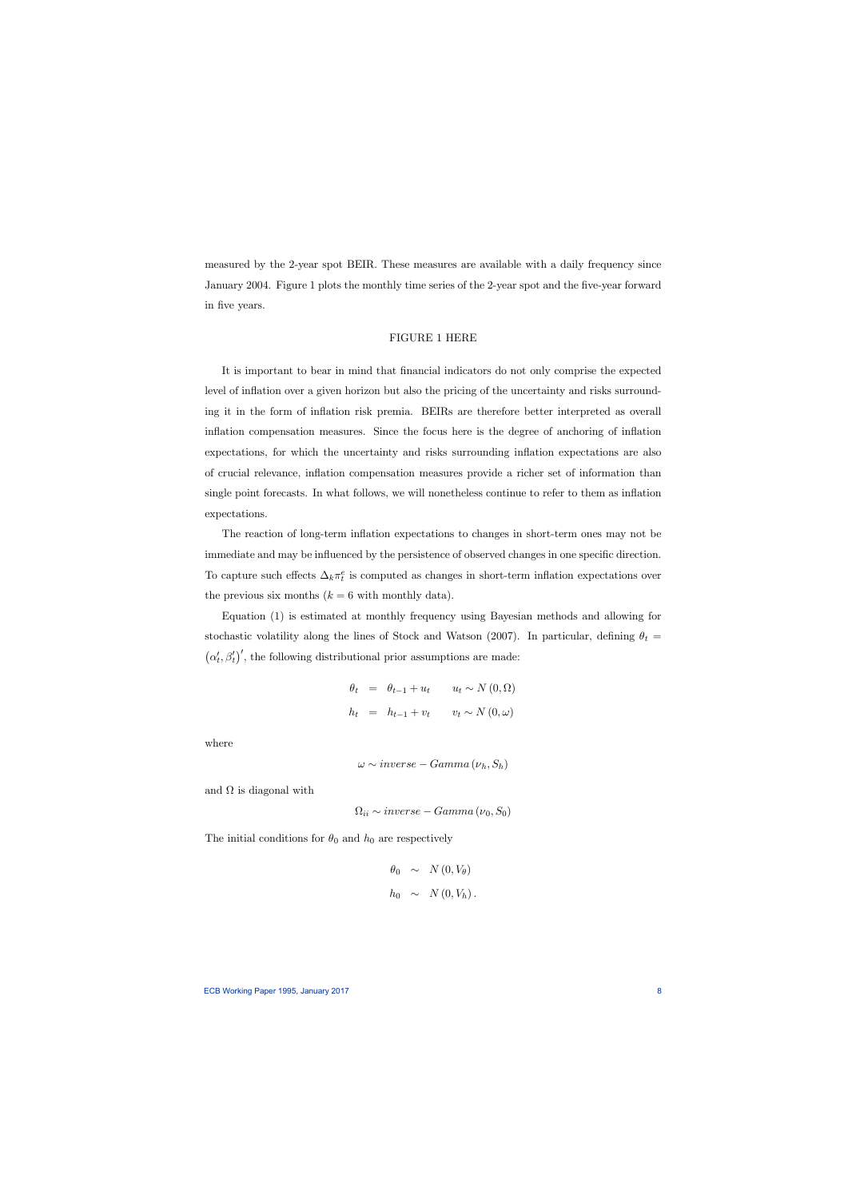measured by the 2-year spot BEIR. These measures are available with a daily frequency since January 2004. Figure 1 plots the monthly time series of the 2-year spot and the five-year forward in five years.

## FIGURE 1 HERE

It is important to bear in mind that financial indicators do not only comprise the expected level of inflation over a given horizon but also the pricing of the uncertainty and risks surrounding it in the form of inflation risk premia. BEIRs are therefore better interpreted as overall inflation compensation measures. Since the focus here is the degree of anchoring of inflation expectations, for which the uncertainty and risks surrounding inflation expectations are also of crucial relevance, inflation compensation measures provide a richer set of information than single point forecasts. In what follows, we will nonetheless continue to refer to them as inflation expectations.

The reaction of long-term inflation expectations to changes in short-term ones may not be immediate and may be influenced by the persistence of observed changes in one specific direction. To capture such effects  $\Delta_k \pi_t^e$  is computed as changes in short-term inflation expectations over the previous six months  $(k = 6$  with monthly data).

Equation (1) is estimated at monthly frequency using Bayesian methods and allowing for stochastic volatility along the lines of Stock and Watson (2007). In particular, defining  $\theta_t =$  $(\alpha'_t, \beta'_t)'$ , the following distributional prior assumptions are made:

$$
\theta_t = \theta_{t-1} + u_t \qquad u_t \sim N(0, \Omega)
$$
  

$$
h_t = h_{t-1} + v_t \qquad v_t \sim N(0, \omega)
$$

where

$$
\omega \sim inverse - Gamma\left(\nu_h, S_h\right)
$$

and  $\Omega$  is diagonal with

 $\Omega_{ii} \sim inverse - Gamma(\nu_0, S_0)$ 

The initial conditions for  $\theta_0$  and  $h_0$  are respectively

$$
\theta_0 \sim N(0, V_{\theta})
$$
  

$$
h_0 \sim N(0, V_h).
$$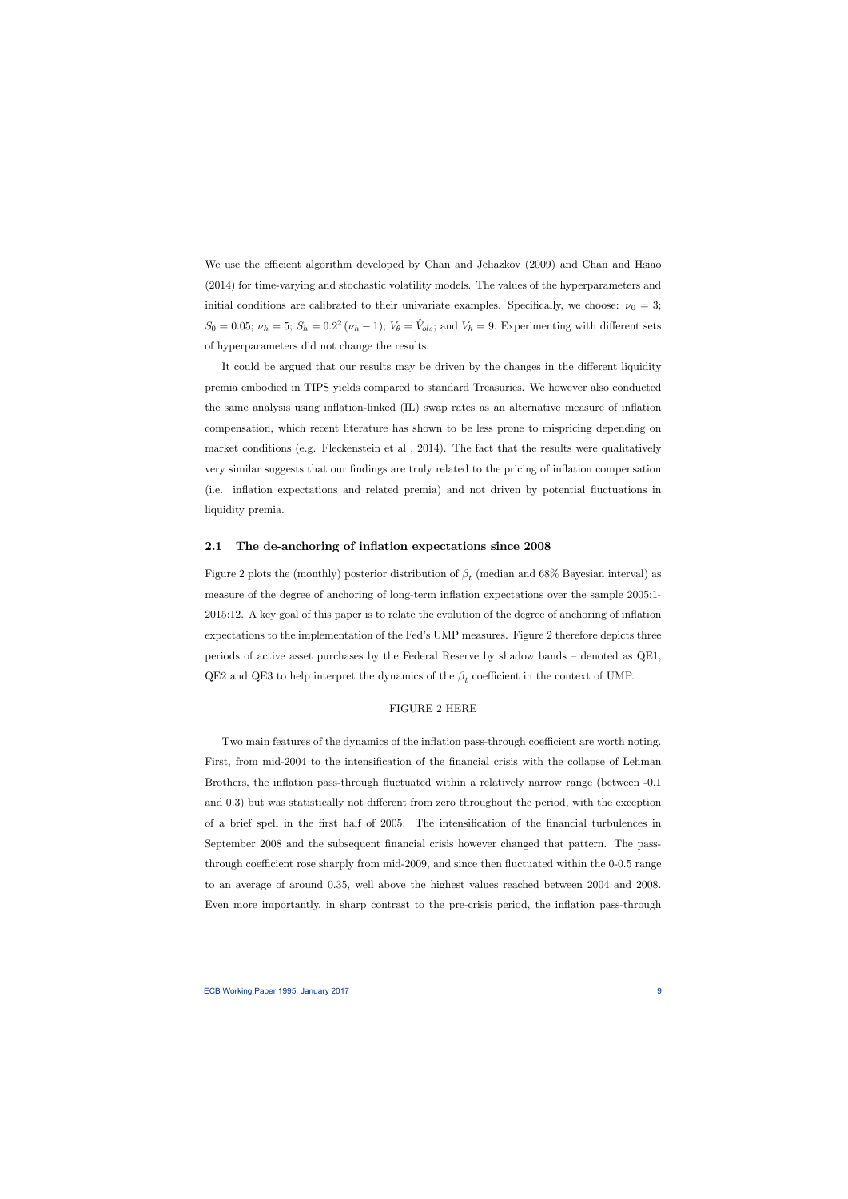We use the efficient algorithm developed by Chan and Jeliazkov (2009) and Chan and Hsiao (2014) for time-varying and stochastic volatility models. The values of the hyperparameters and initial conditions are calibrated to their univariate examples. Specifically, we choose:  $\nu_0 = 3$ ;  $S_0 = 0.05; \nu_h = 5; S_h = 0.2^2 (\nu_h - 1); V_{\theta} = \hat{V}_{ols};$  and  $V_h = 9$ . Experimenting with different sets of hyperparameters did not change the results.

It could be argued that our results may be driven by the changes in the different liquidity premia embodied in TIPS yields compared to standard Treasuries. We however also conducted the same analysis using inflation-linked (IL) swap rates as an alternative measure of inflation compensation, which recent literature has shown to be less prone to mispricing depending on market conditions (e.g. Fleckenstein et al , 2014). The fact that the results were qualitatively very similar suggests that our findings are truly related to the pricing of inflation compensation (i.e. inflation expectations and related premia) and not driven by potential fluctuations in liquidity premia.

## 2.1 The de-anchoring of inflation expectations since 2008

Figure 2 plots the (monthly) posterior distribution of  $\beta_t$  (median and 68% Bayesian interval) as measure of the degree of anchoring of long-term inflation expectations over the sample 2005:1- 2015:12. A key goal of this paper is to relate the evolution of the degree of anchoring of inflation expectations to the implementation of the Fed's UMP measures. Figure 2 therefore depicts three periods of active asset purchases by the Federal Reserve by shadow bands — denoted as QE1, QE2 and QE3 to help interpret the dynamics of the  $\beta_t$  coefficient in the context of UMP.

## FIGURE 2 HERE

Two main features of the dynamics of the inflation pass-through coefficient are worth noting. First, from mid-2004 to the intensification of the financial crisis with the collapse of Lehman Brothers, the inflation pass-through fluctuated within a relatively narrow range (between -0.1 and 0.3) but was statistically not different from zero throughout the period, with the exception of a brief spell in the first half of 2005. The intensification of the financial turbulences in September 2008 and the subsequent financial crisis however changed that pattern. The passthrough coefficient rose sharply from mid-2009, and since then fluctuated within the 0-0.5 range to an average of around 0.35, well above the highest values reached between 2004 and 2008. Even more importantly, in sharp contrast to the pre-crisis period, the inflation pass-through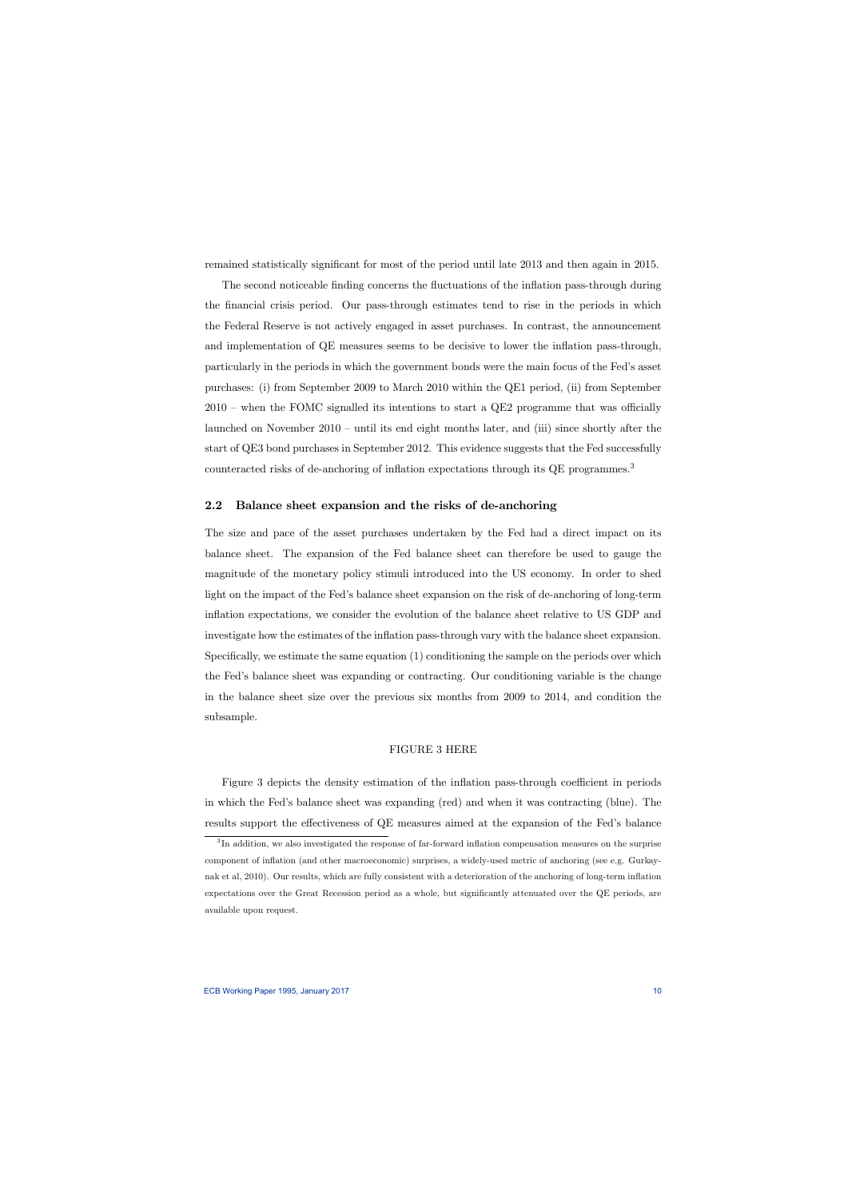remained statistically significant for most of the period until late 2013 and then again in 2015.

The second noticeable finding concerns the fluctuations of the inflation pass-through during the financial crisis period. Our pass-through estimates tend to rise in the periods in which the Federal Reserve is not actively engaged in asset purchases. In contrast, the announcement and implementation of QE measures seems to be decisive to lower the inflation pass-through, particularly in the periods in which the government bonds were the main focus of the Fed's asset purchases: (i) from September 2009 to March 2010 within the QE1 period, (ii) from September 2010 — when the FOMC signalled its intentions to start a QE2 programme that was officially launched on November 2010 — until its end eight months later, and (iii) since shortly after the start of QE3 bond purchases in September 2012. This evidence suggests that the Fed successfully counteracted risks of de-anchoring of inflation expectations through its QE programmes.<sup>3</sup>

# 2.2 Balance sheet expansion and the risks of de-anchoring

The size and pace of the asset purchases undertaken by the Fed had a direct impact on its balance sheet. The expansion of the Fed balance sheet can therefore be used to gauge the magnitude of the monetary policy stimuli introduced into the US economy. In order to shed light on the impact of the Fed's balance sheet expansion on the risk of de-anchoring of long-term inflation expectations, we consider the evolution of the balance sheet relative to US GDP and investigate how the estimates of the inflation pass-through vary with the balance sheet expansion. Specifically, we estimate the same equation (1) conditioning the sample on the periods over which the Fed's balance sheet was expanding or contracting. Our conditioning variable is the change in the balance sheet size over the previous six months from 2009 to 2014, and condition the subsample.

#### FIGURE 3 HERE

Figure 3 depicts the density estimation of the inflation pass-through coefficient in periods in which the Fed's balance sheet was expanding (red) and when it was contracting (blue). The results support the effectiveness of QE measures aimed at the expansion of the Fed's balance

<sup>&</sup>lt;sup>3</sup>In addition, we also investigated the response of far-forward inflation compensation measures on the surprise component of inflation (and other macroeconomic) surprises, a widely-used metric of anchoring (see e.g. Gurkaynak et al, 2010). Our results, which are fully consistent with a deterioration of the anchoring of long-term inflation expectations over the Great Recession period as a whole, but significantly attenuated over the QE periods, are available upon request.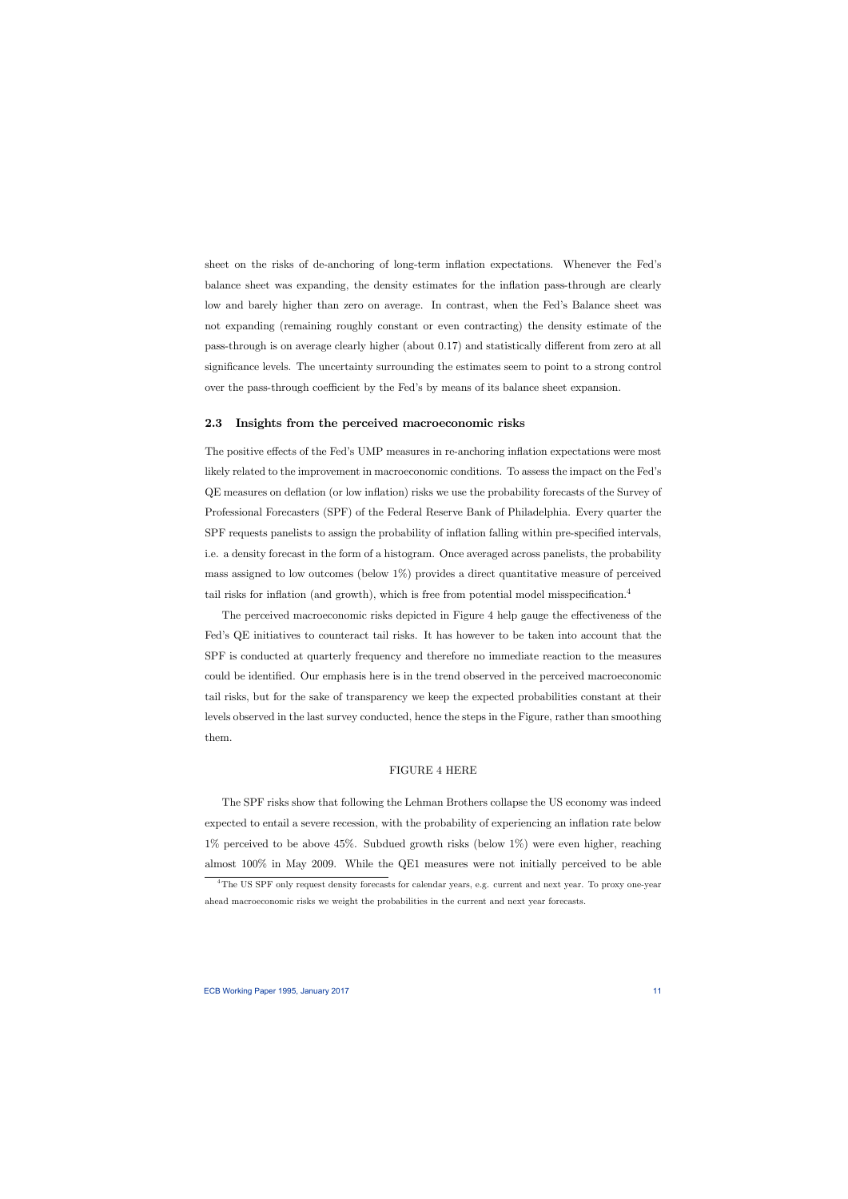sheet on the risks of de-anchoring of long-term inflation expectations. Whenever the Fed's balance sheet was expanding, the density estimates for the inflation pass-through are clearly low and barely higher than zero on average. In contrast, when the Fed's Balance sheet was not expanding (remaining roughly constant or even contracting) the density estimate of the pass-through is on average clearly higher (about 0.17) and statistically different from zero at all significance levels. The uncertainty surrounding the estimates seem to point to a strong control over the pass-through coefficient by the Fed's by means of its balance sheet expansion.

#### 2.3 Insights from the perceived macroeconomic risks

The positive effects of the Fed's UMP measures in re-anchoring inflation expectations were most likely related to the improvement in macroeconomic conditions. To assess the impact on the Fed's QE measures on deflation (or low inflation) risks we use the probability forecasts of the Survey of Professional Forecasters (SPF) of the Federal Reserve Bank of Philadelphia. Every quarter the SPF requests panelists to assign the probability of inflation falling within pre-specified intervals, i.e. a density forecast in the form of a histogram. Once averaged across panelists, the probability mass assigned to low outcomes (below 1%) provides a direct quantitative measure of perceived tail risks for inflation (and growth), which is free from potential model misspecification.<sup>4</sup>

The perceived macroeconomic risks depicted in Figure 4 help gauge the effectiveness of the Fed's QE initiatives to counteract tail risks. It has however to be taken into account that the SPF is conducted at quarterly frequency and therefore no immediate reaction to the measures could be identified. Our emphasis here is in the trend observed in the perceived macroeconomic tail risks, but for the sake of transparency we keep the expected probabilities constant at their levels observed in the last survey conducted, hence the steps in the Figure, rather than smoothing them.

#### FIGURE 4 HERE

The SPF risks show that following the Lehman Brothers collapse the US economy was indeed expected to entail a severe recession, with the probability of experiencing an inflation rate below 1% perceived to be above 45%. Subdued growth risks (below 1%) were even higher, reaching almost 100% in May 2009. While the QE1 measures were not initially perceived to be able

<sup>&</sup>lt;sup>4</sup>The US SPF only request density forecasts for calendar years, e.g. current and next year. To proxy one-year ahead macroeconomic risks we weight the probabilities in the current and next year forecasts.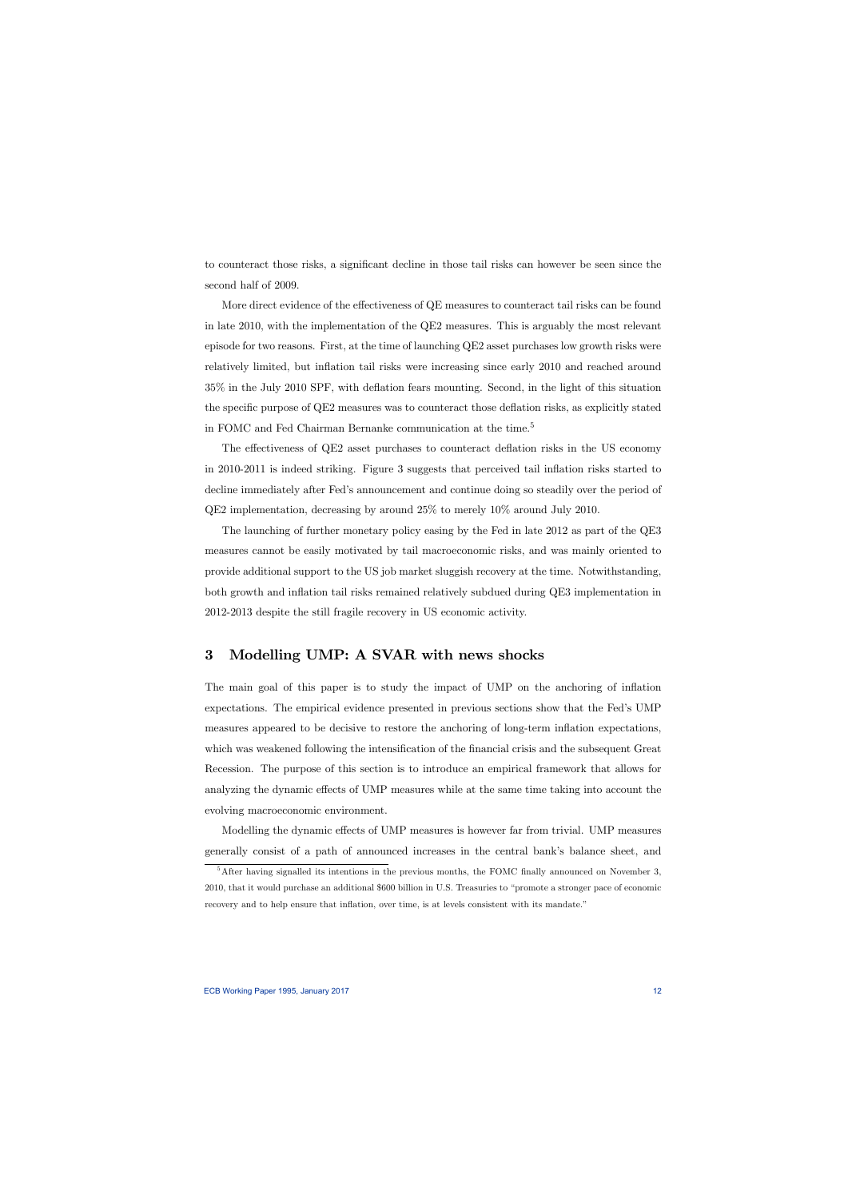to counteract those risks, a significant decline in those tail risks can however be seen since the second half of 2009.

More direct evidence of the effectiveness of QE measures to counteract tail risks can be found in late 2010, with the implementation of the QE2 measures. This is arguably the most relevant episode for two reasons. First, at the time of launching QE2 asset purchases low growth risks were relatively limited, but inflation tail risks were increasing since early 2010 and reached around 35% in the July 2010 SPF, with deflation fears mounting. Second, in the light of this situation the specific purpose of QE2 measures was to counteract those deflation risks, as explicitly stated in FOMC and Fed Chairman Bernanke communication at the time.<sup>5</sup>

The effectiveness of QE2 asset purchases to counteract deflation risks in the US economy in 2010-2011 is indeed striking. Figure 3 suggests that perceived tail inflation risks started to decline immediately after Fed's announcement and continue doing so steadily over the period of QE2 implementation, decreasing by around 25% to merely 10% around July 2010.

The launching of further monetary policy easing by the Fed in late 2012 as part of the QE3 measures cannot be easily motivated by tail macroeconomic risks, and was mainly oriented to provide additional support to the US job market sluggish recovery at the time. Notwithstanding, both growth and inflation tail risks remained relatively subdued during QE3 implementation in 2012-2013 despite the still fragile recovery in US economic activity.

# 3 Modelling UMP: A SVAR with news shocks

The main goal of this paper is to study the impact of UMP on the anchoring of inflation expectations. The empirical evidence presented in previous sections show that the Fed's UMP measures appeared to be decisive to restore the anchoring of long-term inflation expectations, which was weakened following the intensification of the financial crisis and the subsequent Great Recession. The purpose of this section is to introduce an empirical framework that allows for analyzing the dynamic effects of UMP measures while at the same time taking into account the evolving macroeconomic environment.

Modelling the dynamic effects of UMP measures is however far from trivial. UMP measures generally consist of a path of announced increases in the central bank's balance sheet, and

 $5$ After having signalled its intentions in the previous months, the FOMC finally announced on November 3, 2010, that it would purchase an additional \$600 billion in U.S. Treasuries to "promote a stronger pace of economic recovery and to help ensure that inflation, over time, is at levels consistent with its mandate."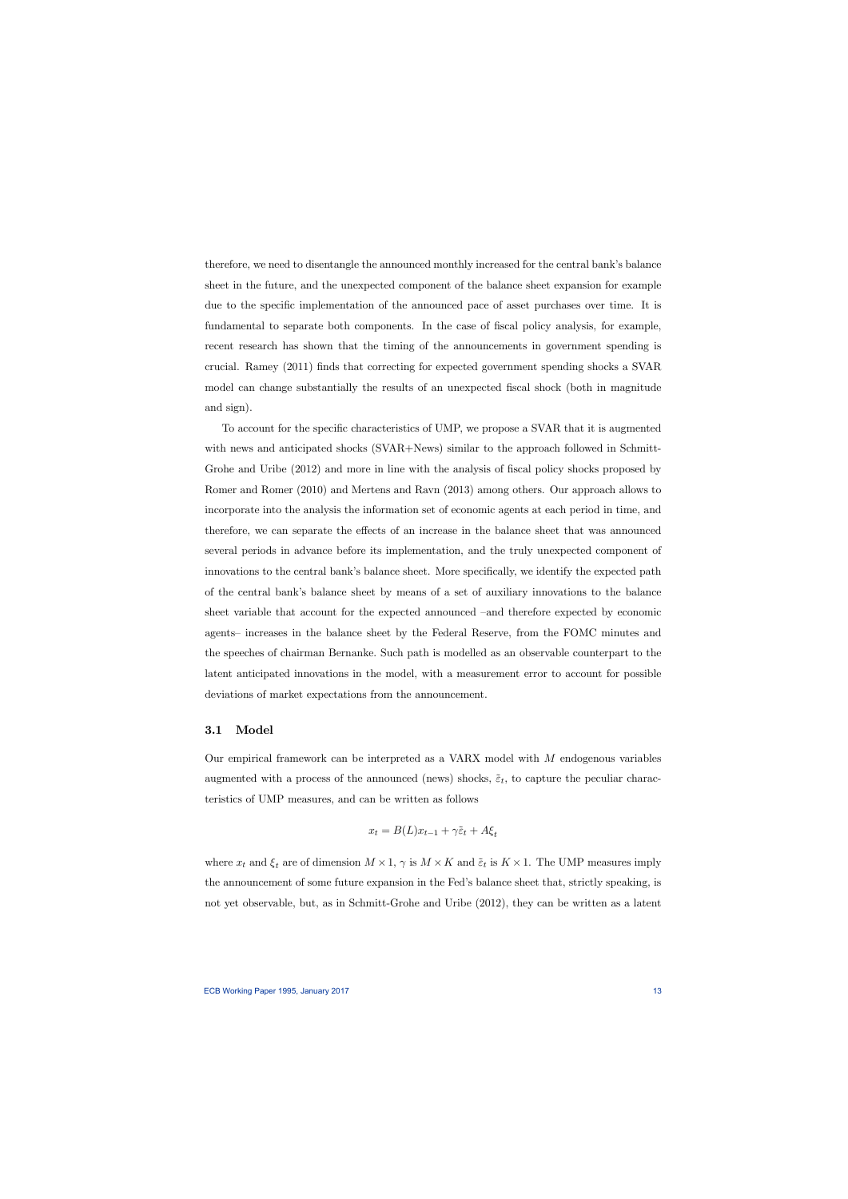therefore, we need to disentangle the announced monthly increased for the central bank's balance sheet in the future, and the unexpected component of the balance sheet expansion for example due to the specific implementation of the announced pace of asset purchases over time. It is fundamental to separate both components. In the case of fiscal policy analysis, for example, recent research has shown that the timing of the announcements in government spending is crucial. Ramey (2011) finds that correcting for expected government spending shocks a SVAR model can change substantially the results of an unexpected fiscal shock (both in magnitude and sign).

To account for the specific characteristics of UMP, we propose a SVAR that it is augmented with news and anticipated shocks (SVAR+News) similar to the approach followed in Schmitt-Grohe and Uribe (2012) and more in line with the analysis of fiscal policy shocks proposed by Romer and Romer (2010) and Mertens and Ravn (2013) among others. Our approach allows to incorporate into the analysis the information set of economic agents at each period in time, and therefore, we can separate the effects of an increase in the balance sheet that was announced several periods in advance before its implementation, and the truly unexpected component of innovations to the central bank's balance sheet. More specifically, we identify the expected path of the central bank's balance sheet by means of a set of auxiliary innovations to the balance sheet variable that account for the expected announced —and therefore expected by economic agents— increases in the balance sheet by the Federal Reserve, from the FOMC minutes and the speeches of chairman Bernanke. Such path is modelled as an observable counterpart to the latent anticipated innovations in the model, with a measurement error to account for possible deviations of market expectations from the announcement.

#### 3.1 Model

Our empirical framework can be interpreted as a VARX model with  $M$  endogenous variables augmented with a process of the announced (news) shocks,  $\tilde{\varepsilon}_t$ , to capture the peculiar characteristics of UMP measures, and can be written as follows

$$
x_t = B(L)x_{t-1} + \gamma \tilde{\varepsilon}_t + A\xi_t
$$

where  $x_t$  and  $\xi_t$  are of dimension  $M \times 1$ ,  $\gamma$  is  $M \times K$  and  $\tilde{\varepsilon}_t$  is  $K \times 1$ . The UMP measures imply the announcement of some future expansion in the Fed's balance sheet that, strictly speaking, is not yet observable, but, as in Schmitt-Grohe and Uribe (2012), they can be written as a latent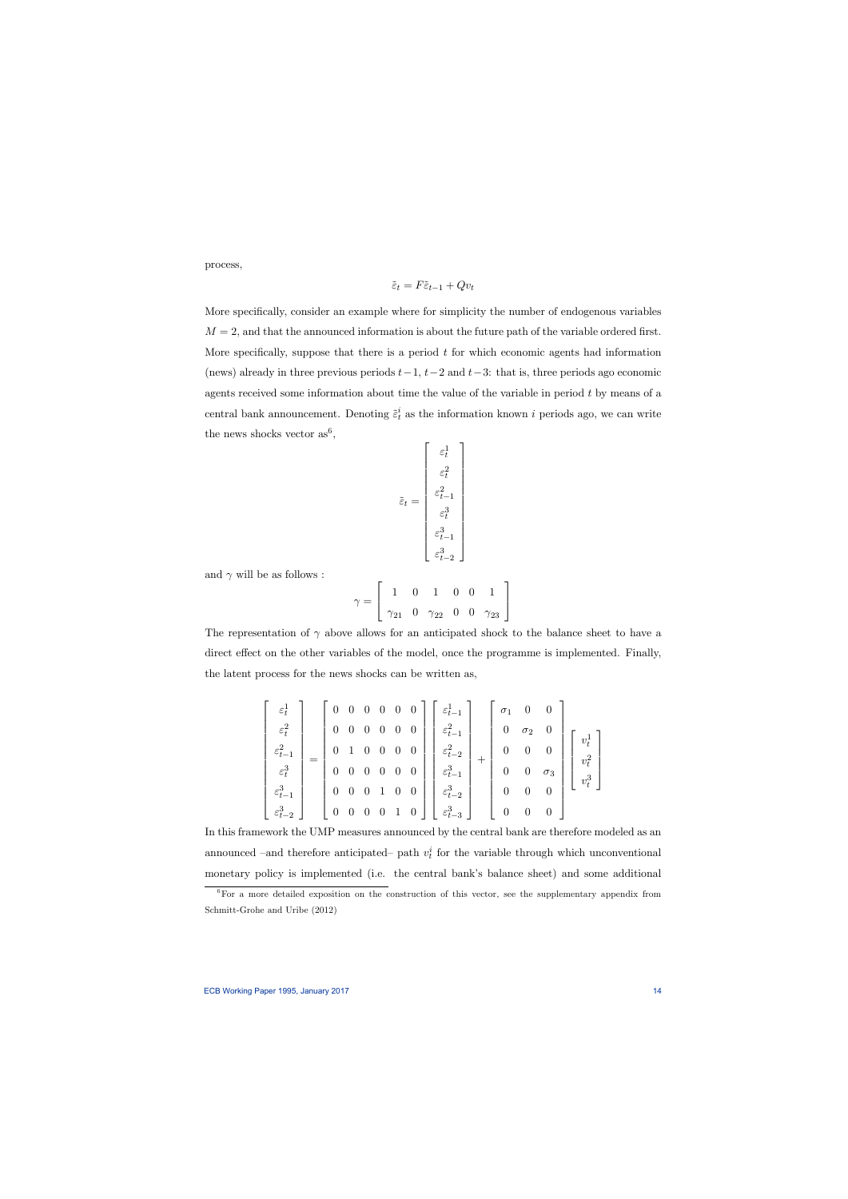process,

$$
\tilde{\varepsilon}_t = F\tilde{\varepsilon}_{t-1} + Qv_t
$$

More specifically, consider an example where for simplicity the number of endogenous variables  $M = 2$ , and that the announced information is about the future path of the variable ordered first. More specifically, suppose that there is a period  $t$  for which economic agents had information (news) already in three previous periods  $t-1$ ,  $t-2$  and  $t-3$ : that is, three periods ago economic agents received some information about time the value of the variable in period  $t$  by means of a central bank announcement. Denoting  $\tilde{\varepsilon}_t^i$  as the information known i periods ago, we can write the news shocks vector  $as^6$ ,

$$
\tilde{\varepsilon}_t = \begin{bmatrix} \varepsilon_t^1 \\ \varepsilon_t^2 \\ \varepsilon_{t-1}^2 \\ \varepsilon_t^3 \\ \varepsilon_{t-1}^3 \\ \varepsilon_{t-2}^3 \end{bmatrix}
$$

and  $\gamma$  will be as follows :

$$
\gamma = \left[ \begin{array}{cccc} 1 & 0 & 1 & 0 & 0 & 1 \\ \gamma_{21} & 0 & \gamma_{22} & 0 & 0 & \gamma_{23} \end{array} \right]
$$

The representation of  $\gamma$  above allows for an anticipated shock to the balance sheet to have a direct effect on the other variables of the model, once the programme is implemented. Finally, the latent process for the news shocks can be written as,

$$
\begin{bmatrix} \varepsilon_t^1 \\ \varepsilon_t^2 \\ \varepsilon_{t-1}^2 \\ \varepsilon_t^3 \\ \varepsilon_{t-2}^3 \\ \varepsilon_{t-2}^3 \end{bmatrix} = \begin{bmatrix} 0 & 0 & 0 & 0 & 0 & 0 \\ 0 & 0 & 0 & 0 & 0 & 0 \\ 0 & 1 & 0 & 0 & 0 & 0 \\ 0 & 0 & 0 & 0 & 0 & 0 \\ 0 & 0 & 0 & 0 & 0 & 0 \\ 0 & 0 & 0 & 1 & 0 & 0 \\ 0 & 0 & 0 & 0 & 1 & 0 \end{bmatrix} \begin{bmatrix} \varepsilon_{t-1}^1 \\ \varepsilon_{t-1}^2 \\ \varepsilon_{t-2}^3 \\ \varepsilon_{t-1}^3 \\ \varepsilon_{t-2}^3 \\ \varepsilon_{t-3}^3 \end{bmatrix} + \begin{bmatrix} \sigma_1 & 0 & 0 & 0 \\ 0 & \sigma_2 & 0 & 0 \\ 0 & 0 & 0 & 0 \\ 0 & 0 & 0 & 0 \\ 0 & 0 & 0 & 0 \\ 0 & 0 & 0 & 0 \end{bmatrix} \begin{bmatrix} v_t^1 \\ v_t^2 \\ v_t^3 \\ \varepsilon_{t-1}^3 \\ \varepsilon_{t-2}^3 \\ \varepsilon_{t-3}^3 \end{bmatrix}
$$

In this framework the UMP measures announced by the central bank are therefore modeled as an announced –and therefore anticipated– path  $v_t^i$  for the variable through which unconventional monetary policy is implemented (i.e. the central bank's balance sheet) and some additional

<sup>&</sup>lt;sup>6</sup>For a more detailed exposition on the construction of this vector, see the supplementary appendix from Schmitt-Grohe and Uribe (2012)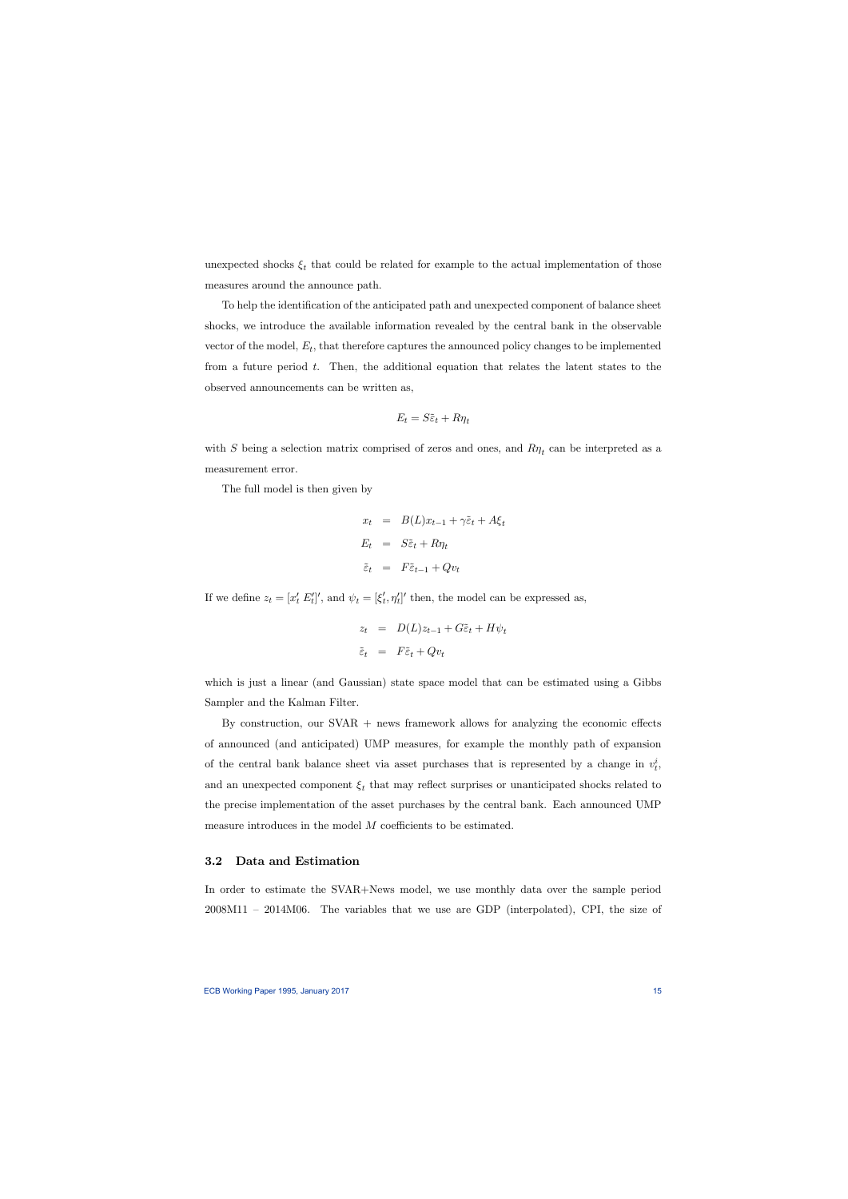unexpected shocks  $\xi_t$  that could be related for example to the actual implementation of those measures around the announce path.

To help the identification of the anticipated path and unexpected component of balance sheet shocks, we introduce the available information revealed by the central bank in the observable vector of the model,  $E_t$ , that therefore captures the announced policy changes to be implemented from a future period  $t$ . Then, the additional equation that relates the latent states to the observed announcements can be written as,

$$
E_t = S\tilde{\varepsilon}_t + R\eta_t
$$

with S being a selection matrix comprised of zeros and ones, and  $R\eta_t$  can be interpreted as a measurement error.

The full model is then given by

$$
x_t = B(L)x_{t-1} + \gamma \tilde{\varepsilon}_t + A\xi_t
$$
  
\n
$$
E_t = S\tilde{\varepsilon}_t + R\eta_t
$$
  
\n
$$
\tilde{\varepsilon}_t = F\tilde{\varepsilon}_{t-1} + Qv_t
$$

If we define  $z_t = [x'_t E'_t]'$ , and  $\psi_t = [\xi'_t, \eta'_t]'$  then, the model can be expressed as,

$$
z_t = D(L)z_{t-1} + G\tilde{\varepsilon}_t + H\psi_t
$$
  

$$
\tilde{\varepsilon}_t = F\tilde{\varepsilon}_t + Qv_t
$$

which is just a linear (and Gaussian) state space model that can be estimated using a Gibbs Sampler and the Kalman Filter.

By construction, our  $SVAR$  + news framework allows for analyzing the economic effects of announced (and anticipated) UMP measures, for example the monthly path of expansion of the central bank balance sheet via asset purchases that is represented by a change in  $v_t^i$ , and an unexpected component  $\xi_t$  that may reflect surprises or unanticipated shocks related to the precise implementation of the asset purchases by the central bank. Each announced UMP measure introduces in the model  $M$  coefficients to be estimated.

### 3.2 Data and Estimation

In order to estimate the SVAR+News model, we use monthly data over the sample period 2008M11 — 2014M06. The variables that we use are GDP (interpolated), CPI, the size of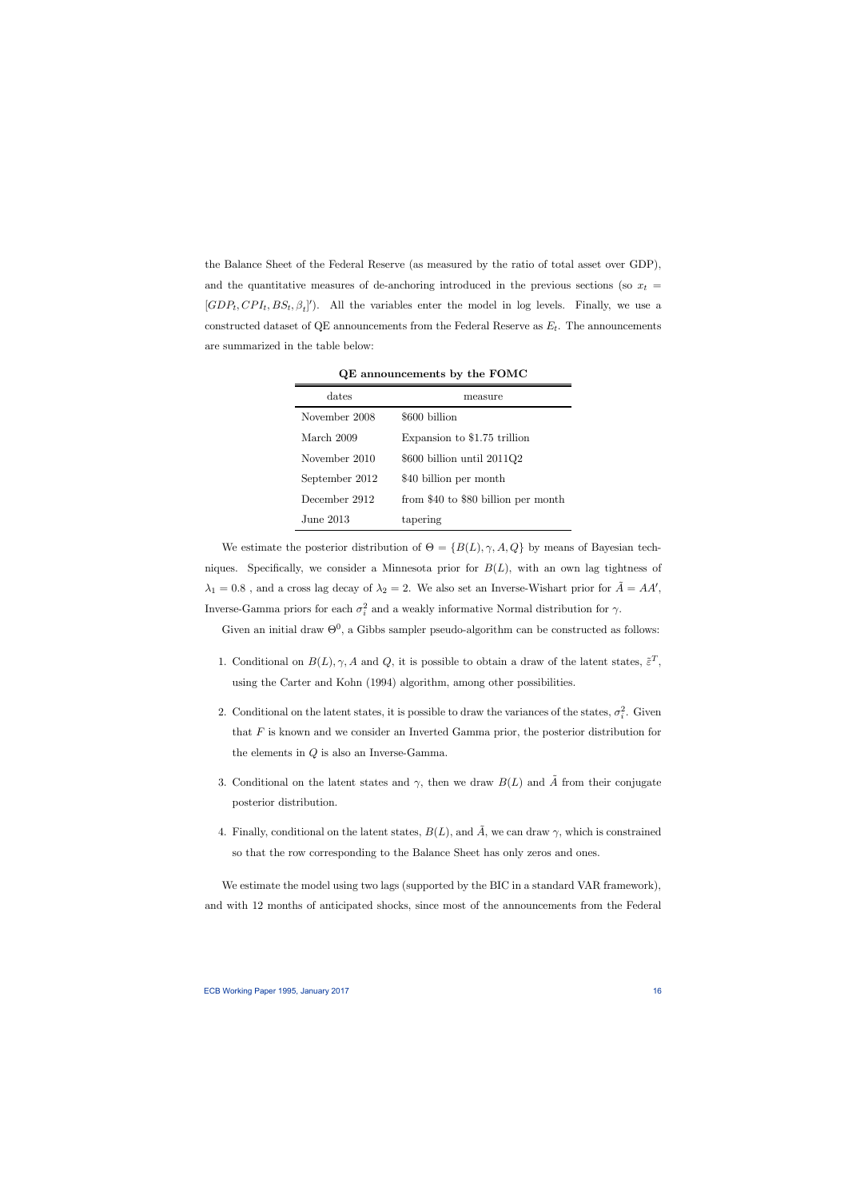the Balance Sheet of the Federal Reserve (as measured by the ratio of total asset over GDP), and the quantitative measures of de-anchoring introduced in the previous sections (so  $x_t$  =  $[GDP_t, CPI_t, BS_t, \beta_t]'$ . All the variables enter the model in log levels. Finally, we use a constructed dataset of QE announcements from the Federal Reserve as  $E_t$ . The announcements are summarized in the table below:

| dates          | measure                             |  |
|----------------|-------------------------------------|--|
| November 2008  | \$600 billion                       |  |
| March 2009     | Expansion to \$1.75 trillion        |  |
| November 2010  | $$600$ billion until $2011Q2$       |  |
| September 2012 | \$40 billion per month              |  |
| December 2912  | from \$40 to \$80 billion per month |  |
| June 2013.     | tapering                            |  |

QE announcements by the FOMC

We estimate the posterior distribution of  $\Theta = \{B(L), \gamma, A, Q\}$  by means of Bayesian techniques. Specifically, we consider a Minnesota prior for  $B(L)$ , with an own lag tightness of  $\lambda_1 = 0.8$ , and a cross lag decay of  $\lambda_2 = 2$ . We also set an Inverse-Wishart prior for  $\tilde{A} = AA'$ , Inverse-Gamma priors for each  $\sigma_i^2$  and a weakly informative Normal distribution for  $\gamma$ .

Given an initial draw  $\Theta^0$ , a Gibbs sampler pseudo-algorithm can be constructed as follows:

- 1. Conditional on  $B(L)$ ,  $\gamma$ , A and Q, it is possible to obtain a draw of the latent states,  $\tilde{\epsilon}^T$ , using the Carter and Kohn (1994) algorithm, among other possibilities.
- 2. Conditional on the latent states, it is possible to draw the variances of the states,  $\sigma_i^2$ . Given that  $F$  is known and we consider an Inverted Gamma prior, the posterior distribution for the elements in  $Q$  is also an Inverse-Gamma.
- 3. Conditional on the latent states and  $\gamma$ , then we draw  $B(L)$  and  $\tilde{A}$  from their conjugate posterior distribution.
- 4. Finally, conditional on the latent states,  $B(L)$ , and  $\tilde{A}$ , we can draw  $\gamma$ , which is constrained so that the row corresponding to the Balance Sheet has only zeros and ones.

We estimate the model using two lags (supported by the BIC in a standard VAR framework), and with 12 months of anticipated shocks, since most of the announcements from the Federal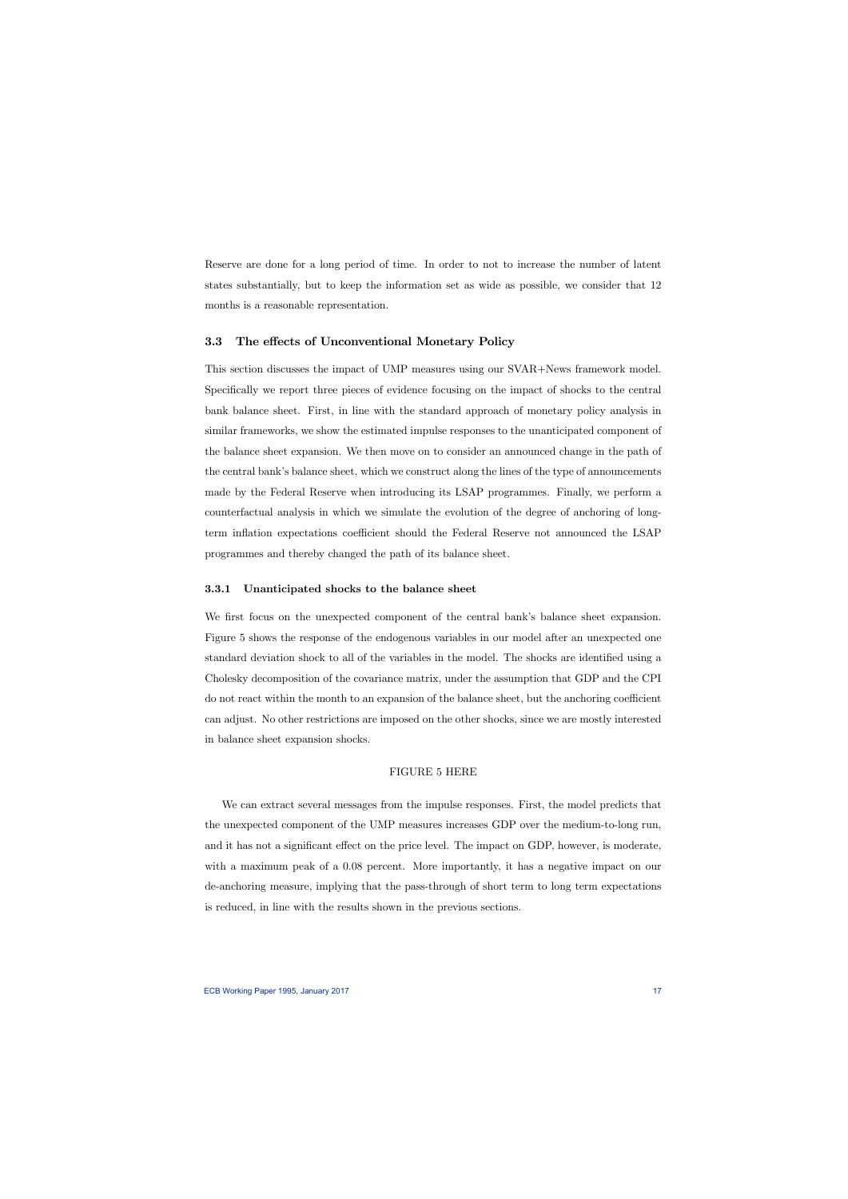Reserve are done for a long period of time. In order to not to increase the number of latent states substantially, but to keep the information set as wide as possible, we consider that 12 months is a reasonable representation.

### 3.3 The effects of Unconventional Monetary Policy

This section discusses the impact of UMP measures using our SVAR+News framework model. Specifically we report three pieces of evidence focusing on the impact of shocks to the central bank balance sheet. First, in line with the standard approach of monetary policy analysis in similar frameworks, we show the estimated impulse responses to the unanticipated component of the balance sheet expansion. We then move on to consider an announced change in the path of the central bank's balance sheet, which we construct along the lines of the type of announcements made by the Federal Reserve when introducing its LSAP programmes. Finally, we perform a counterfactual analysis in which we simulate the evolution of the degree of anchoring of longterm inflation expectations coefficient should the Federal Reserve not announced the LSAP programmes and thereby changed the path of its balance sheet.

## 3.3.1 Unanticipated shocks to the balance sheet

We first focus on the unexpected component of the central bank's balance sheet expansion. Figure 5 shows the response of the endogenous variables in our model after an unexpected one standard deviation shock to all of the variables in the model. The shocks are identified using a Cholesky decomposition of the covariance matrix, under the assumption that GDP and the CPI do not react within the month to an expansion of the balance sheet, but the anchoring coefficient can adjust. No other restrictions are imposed on the other shocks, since we are mostly interested in balance sheet expansion shocks.

### FIGURE 5 HERE

We can extract several messages from the impulse responses. First, the model predicts that the unexpected component of the UMP measures increases GDP over the medium-to-long run, and it has not a significant effect on the price level. The impact on GDP, however, is moderate, with a maximum peak of a 0.08 percent. More importantly, it has a negative impact on our de-anchoring measure, implying that the pass-through of short term to long term expectations is reduced, in line with the results shown in the previous sections.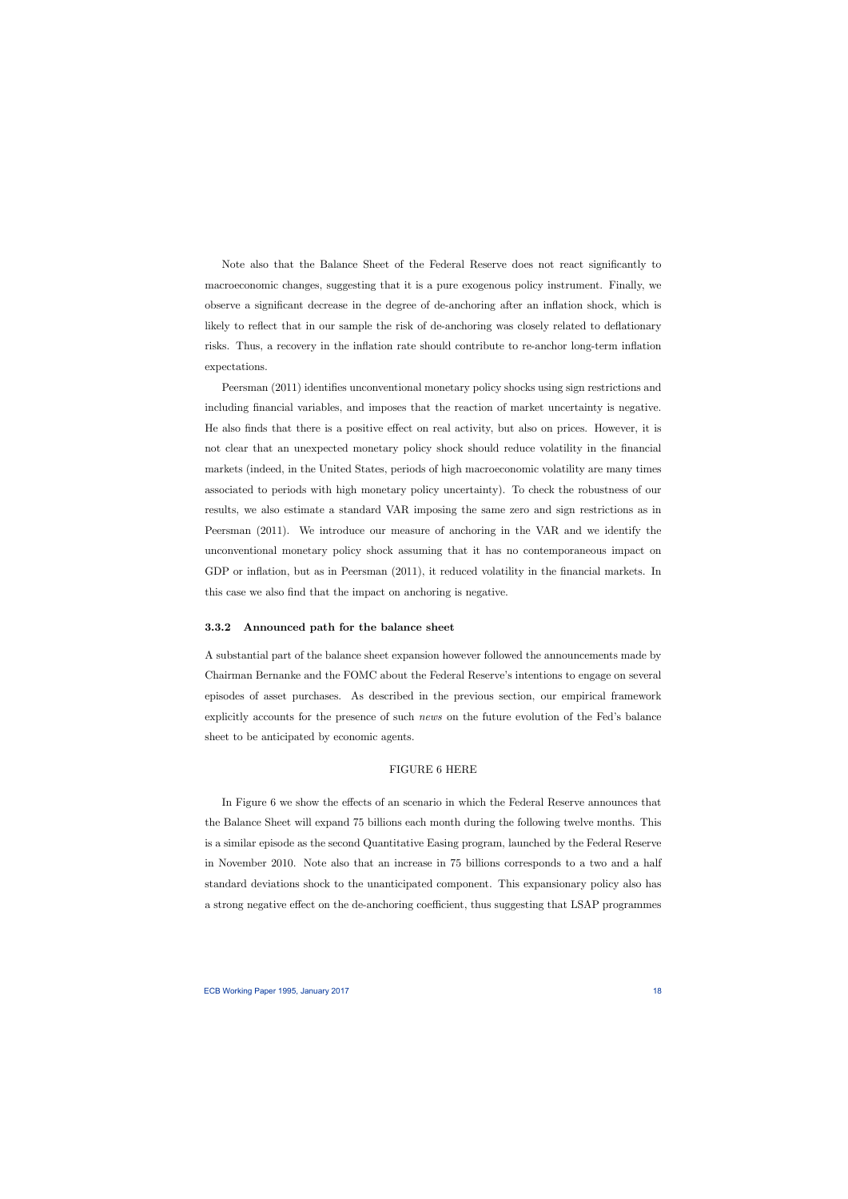Note also that the Balance Sheet of the Federal Reserve does not react significantly to macroeconomic changes, suggesting that it is a pure exogenous policy instrument. Finally, we observe a significant decrease in the degree of de-anchoring after an inflation shock, which is likely to reflect that in our sample the risk of de-anchoring was closely related to deflationary risks. Thus, a recovery in the inflation rate should contribute to re-anchor long-term inflation expectations.

Peersman (2011) identifies unconventional monetary policy shocks using sign restrictions and including financial variables, and imposes that the reaction of market uncertainty is negative. He also finds that there is a positive effect on real activity, but also on prices. However, it is not clear that an unexpected monetary policy shock should reduce volatility in the financial markets (indeed, in the United States, periods of high macroeconomic volatility are many times associated to periods with high monetary policy uncertainty). To check the robustness of our results, we also estimate a standard VAR imposing the same zero and sign restrictions as in Peersman (2011). We introduce our measure of anchoring in the VAR and we identify the unconventional monetary policy shock assuming that it has no contemporaneous impact on GDP or inflation, but as in Peersman  $(2011)$ , it reduced volatility in the financial markets. In this case we also find that the impact on anchoring is negative.

## 3.3.2 Announced path for the balance sheet

A substantial part of the balance sheet expansion however followed the announcements made by Chairman Bernanke and the FOMC about the Federal Reserve's intentions to engage on several episodes of asset purchases. As described in the previous section, our empirical framework explicitly accounts for the presence of such news on the future evolution of the Fed's balance sheet to be anticipated by economic agents.

#### FIGURE 6 HERE

In Figure 6 we show the effects of an scenario in which the Federal Reserve announces that the Balance Sheet will expand 75 billions each month during the following twelve months. This is a similar episode as the second Quantitative Easing program, launched by the Federal Reserve in November 2010. Note also that an increase in 75 billions corresponds to a two and a half standard deviations shock to the unanticipated component. This expansionary policy also has a strong negative effect on the de-anchoring coefficient, thus suggesting that LSAP programmes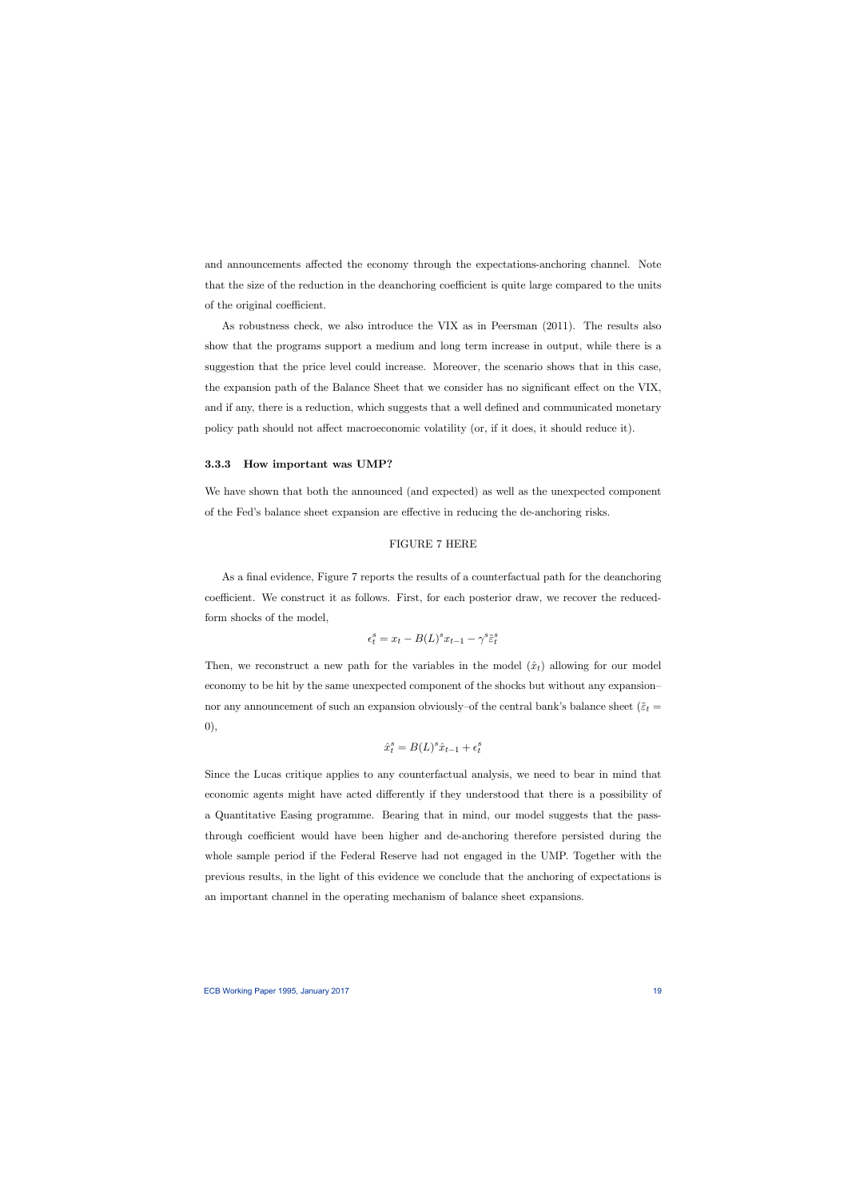and announcements affected the economy through the expectations-anchoring channel. Note that the size of the reduction in the deanchoring coefficient is quite large compared to the units of the original coefficient.

As robustness check, we also introduce the VIX as in Peersman (2011). The results also show that the programs support a medium and long term increase in output, while there is a suggestion that the price level could increase. Moreover, the scenario shows that in this case, the expansion path of the Balance Sheet that we consider has no significant effect on the VIX, and if any, there is a reduction, which suggests that a well defined and communicated monetary policy path should not affect macroeconomic volatility (or, if it does, it should reduce it).

#### 3.3.3 How important was UMP?

We have shown that both the announced (and expected) as well as the unexpected component of the Fed's balance sheet expansion are effective in reducing the de-anchoring risks.

## FIGURE 7 HERE

As a final evidence, Figure 7 reports the results of a counterfactual path for the deanchoring coefficient. We construct it as follows. First, for each posterior draw, we recover the reducedform shocks of the model,

$$
\epsilon_t^s = x_t - B(L)^s x_{t-1} - \gamma^s \tilde{\varepsilon}_t^s
$$

Then, we reconstruct a new path for the variables in the model  $(\hat{x}_t)$  allowing for our model economy to be hit by the same unexpected component of the shocks but without any expansion nor any announcement of such an expansion obviously–of the central bank's balance sheet ( $\tilde{\varepsilon}_t$  = 0),

$$
\hat{x}_t^s = B(L)^s \hat{x}_{t-1} + \epsilon_t^s
$$

Since the Lucas critique applies to any counterfactual analysis, we need to bear in mind that economic agents might have acted differently if they understood that there is a possibility of a Quantitative Easing programme. Bearing that in mind, our model suggests that the passthrough coefficient would have been higher and de-anchoring therefore persisted during the whole sample period if the Federal Reserve had not engaged in the UMP. Together with the previous results, in the light of this evidence we conclude that the anchoring of expectations is an important channel in the operating mechanism of balance sheet expansions.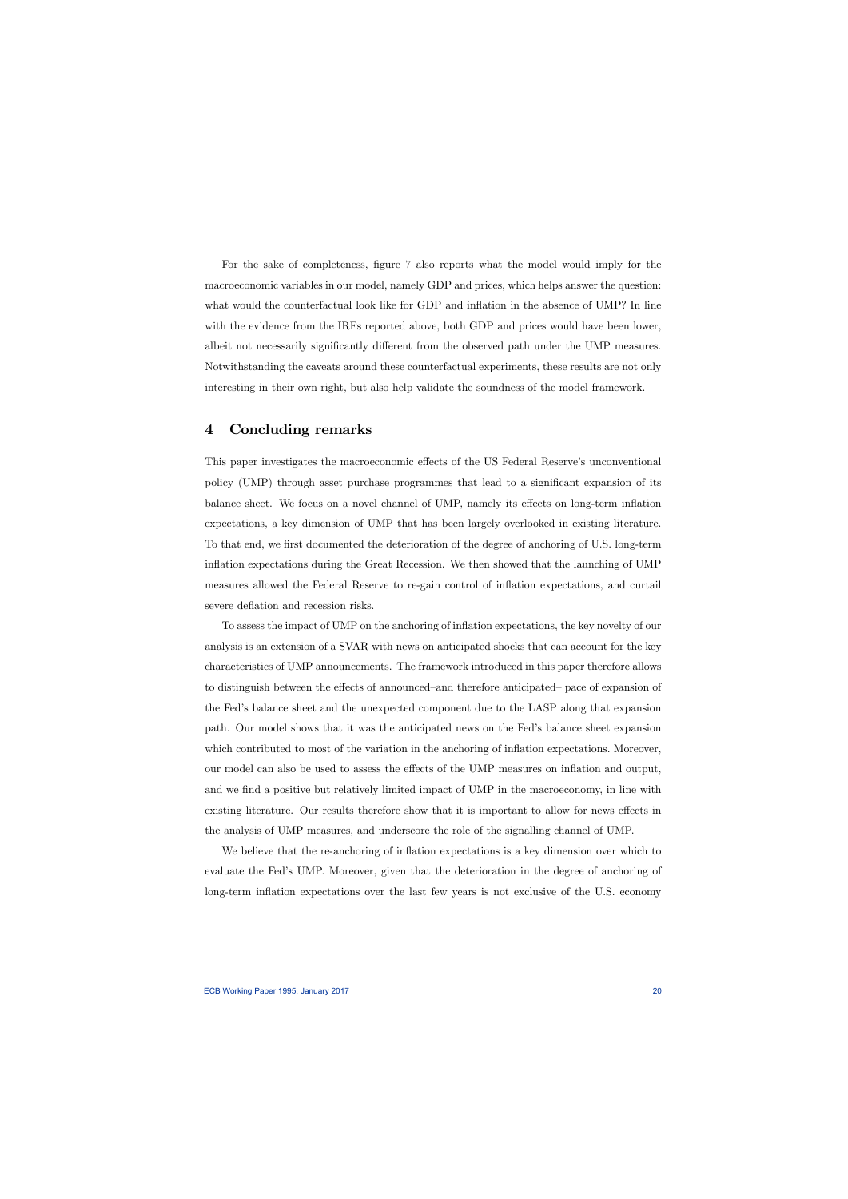For the sake of completeness, figure 7 also reports what the model would imply for the macroeconomic variables in our model, namely GDP and prices, which helps answer the question: what would the counterfactual look like for GDP and inflation in the absence of UMP? In line with the evidence from the IRFs reported above, both GDP and prices would have been lower, albeit not necessarily significantly different from the observed path under the UMP measures. Notwithstanding the caveats around these counterfactual experiments, these results are not only interesting in their own right, but also help validate the soundness of the model framework.

# 4 Concluding remarks

This paper investigates the macroeconomic effects of the US Federal Reserve's unconventional policy (UMP) through asset purchase programmes that lead to a significant expansion of its balance sheet. We focus on a novel channel of UMP, namely its effects on long-term inflation expectations, a key dimension of UMP that has been largely overlooked in existing literature. To that end, we first documented the deterioration of the degree of anchoring of U.S. long-term inflation expectations during the Great Recession. We then showed that the launching of UMP measures allowed the Federal Reserve to re-gain control of inflation expectations, and curtail severe deflation and recession risks.

To assess the impact of UMP on the anchoring of inflation expectations, the key novelty of our analysis is an extension of a SVAR with news on anticipated shocks that can account for the key characteristics of UMP announcements. The framework introduced in this paper therefore allows to distinguish between the effects of announced—and therefore anticipated— pace of expansion of the Fed's balance sheet and the unexpected component due to the LASP along that expansion path. Our model shows that it was the anticipated news on the Fed's balance sheet expansion which contributed to most of the variation in the anchoring of inflation expectations. Moreover, our model can also be used to assess the effects of the UMP measures on inflation and output, and we find a positive but relatively limited impact of UMP in the macroeconomy, in line with existing literature. Our results therefore show that it is important to allow for news effects in the analysis of UMP measures, and underscore the role of the signalling channel of UMP.

We believe that the re-anchoring of inflation expectations is a key dimension over which to evaluate the Fed's UMP. Moreover, given that the deterioration in the degree of anchoring of long-term inflation expectations over the last few years is not exclusive of the U.S. economy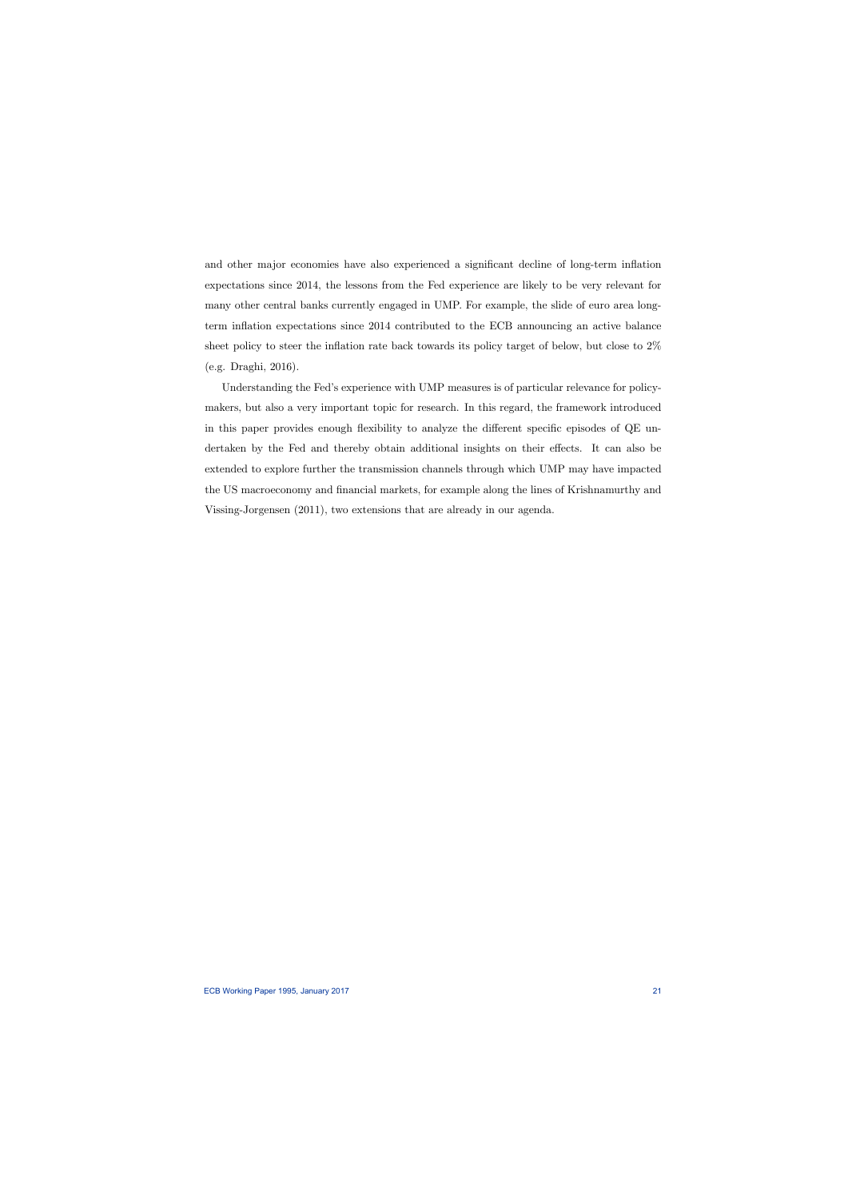and other major economies have also experienced a significant decline of long-term inflation expectations since 2014, the lessons from the Fed experience are likely to be very relevant for many other central banks currently engaged in UMP. For example, the slide of euro area longterm inflation expectations since 2014 contributed to the ECB announcing an active balance sheet policy to steer the inflation rate back towards its policy target of below, but close to 2% (e.g. Draghi, 2016).

Understanding the Fed's experience with UMP measures is of particular relevance for policymakers, but also a very important topic for research. In this regard, the framework introduced in this paper provides enough flexibility to analyze the different specific episodes of QE undertaken by the Fed and thereby obtain additional insights on their effects. It can also be extended to explore further the transmission channels through which UMP may have impacted the US macroeconomy and financial markets, for example along the lines of Krishnamurthy and Vissing-Jorgensen (2011), two extensions that are already in our agenda.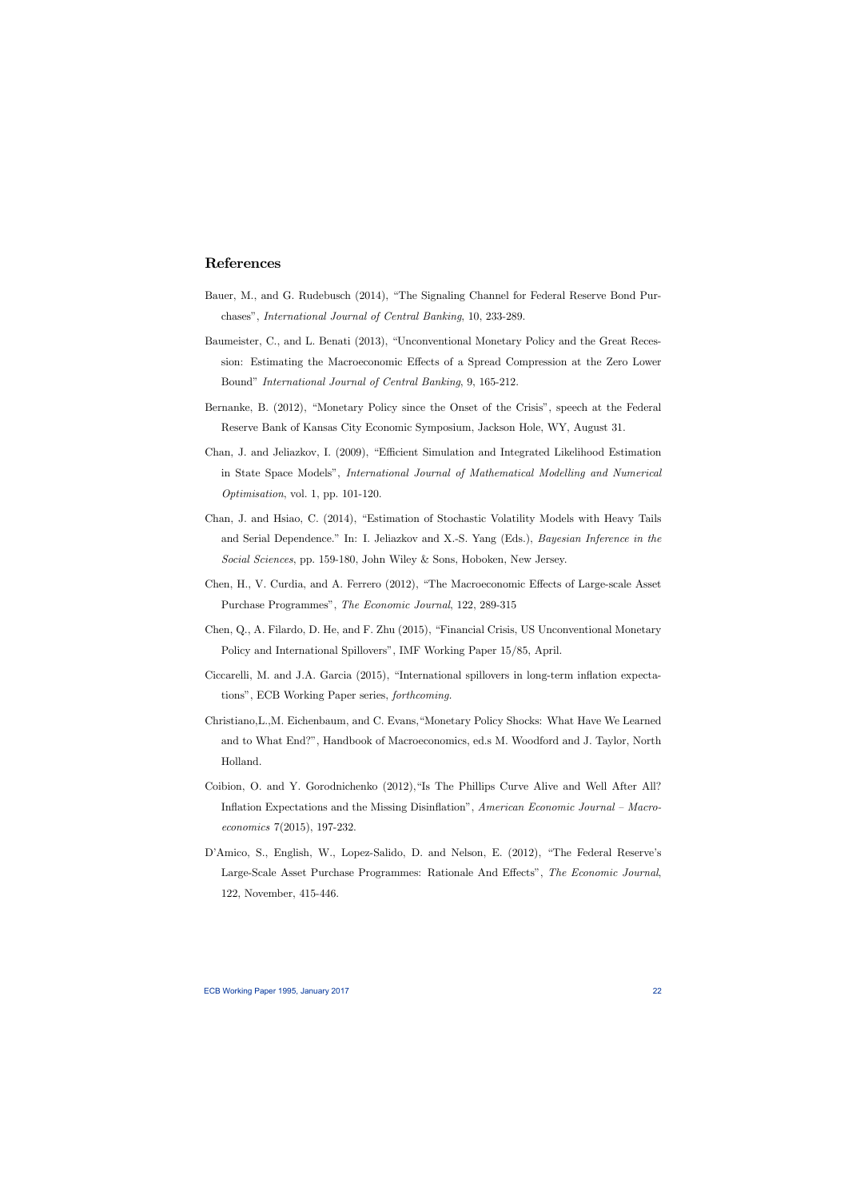# References

- Bauer, M., and G. Rudebusch (2014), "The Signaling Channel for Federal Reserve Bond Purchases", International Journal of Central Banking, 10, 233-289.
- Baumeister, C., and L. Benati (2013), "Unconventional Monetary Policy and the Great Recession: Estimating the Macroeconomic Effects of a Spread Compression at the Zero Lower Bound" International Journal of Central Banking, 9, 165-212.
- Bernanke, B. (2012), "Monetary Policy since the Onset of the Crisis", speech at the Federal Reserve Bank of Kansas City Economic Symposium, Jackson Hole, WY, August 31.
- Chan, J. and Jeliazkov, I. (2009), "Efficient Simulation and Integrated Likelihood Estimation in State Space Models", International Journal of Mathematical Modelling and Numerical Optimisation, vol. 1, pp. 101-120.
- Chan, J. and Hsiao, C. (2014), "Estimation of Stochastic Volatility Models with Heavy Tails and Serial Dependence." In: I. Jeliazkov and X.-S. Yang (Eds.), Bayesian Inference in the Social Sciences, pp. 159-180, John Wiley & Sons, Hoboken, New Jersey.
- Chen, H., V. Curdia, and A. Ferrero (2012), "The Macroeconomic Effects of Large-scale Asset Purchase Programmes", The Economic Journal, 122, 289-315
- Chen, Q., A. Filardo, D. He, and F. Zhu (2015), "Financial Crisis, US Unconventional Monetary Policy and International Spillovers", IMF Working Paper 15/85, April.
- Ciccarelli, M. and J.A. Garcia (2015), "International spillovers in long-term inflation expectations", ECB Working Paper series, forthcoming.
- Christiano,L.,M. Eichenbaum, and C. Evans,"Monetary Policy Shocks: What Have We Learned and to What End?", Handbook of Macroeconomics, ed.s M. Woodford and J. Taylor, North Holland.
- Coibion, O. and Y. Gorodnichenko (2012),"Is The Phillips Curve Alive and Well After All? Inflation Expectations and the Missing Disinflation", American Economic Journal — Macroeconomics 7(2015), 197-232.
- D'Amico, S., English, W., Lopez-Salido, D. and Nelson, E. (2012), "The Federal Reserve's Large-Scale Asset Purchase Programmes: Rationale And Effects", The Economic Journal, 122, November, 415-446.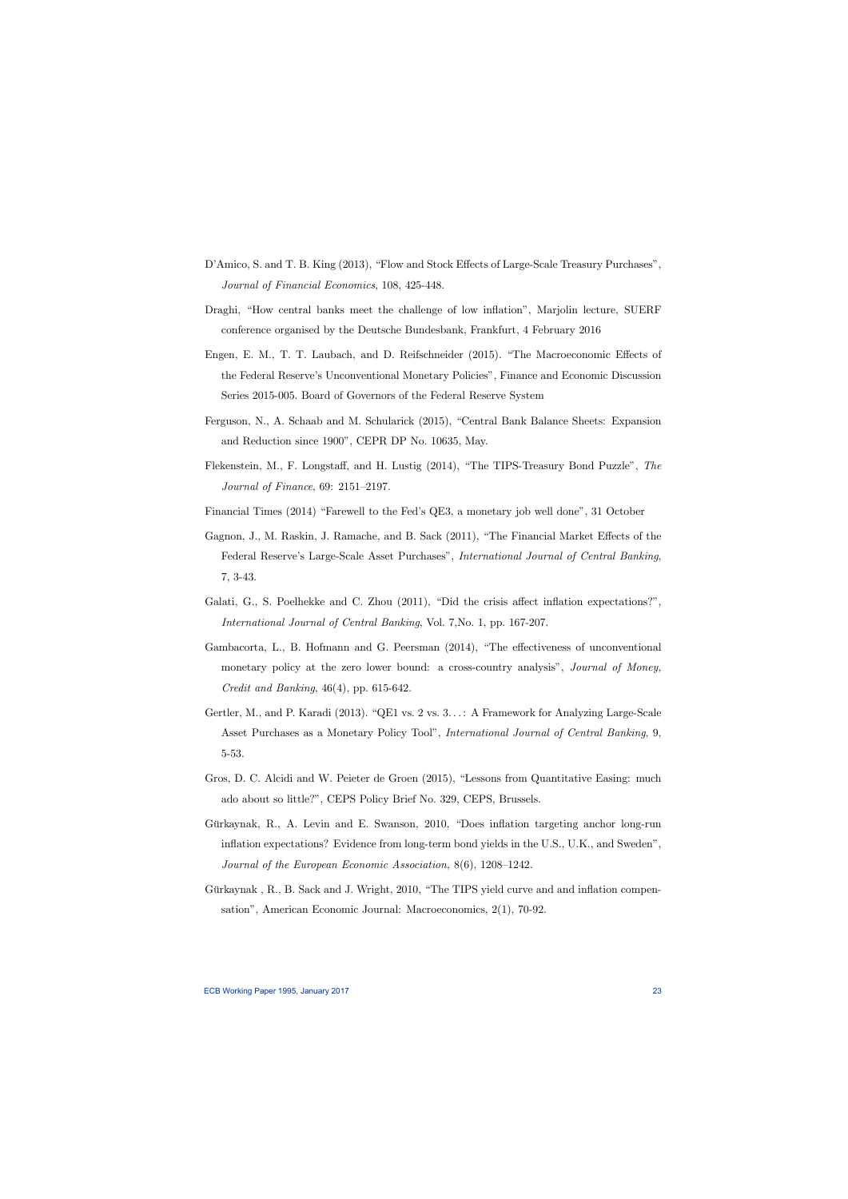- D'Amico, S. and T. B. King (2013), "Flow and Stock Effects of Large-Scale Treasury Purchases", Journal of Financial Economics, 108, 425-448.
- Draghi, "How central banks meet the challenge of low inflation", Marjolin lecture, SUERF conference organised by the Deutsche Bundesbank, Frankfurt, 4 February 2016
- Engen, E. M., T. T. Laubach, and D. Reifschneider (2015). "The Macroeconomic Effects of the Federal Reserve's Unconventional Monetary Policies", Finance and Economic Discussion Series 2015-005. Board of Governors of the Federal Reserve System
- Ferguson, N., A. Schaab and M. Schularick (2015), "Central Bank Balance Sheets: Expansion and Reduction since 1900", CEPR DP No. 10635, May.
- Flekenstein, M., F. Longstaff, and H. Lustig (2014), "The TIPS-Treasury Bond Puzzle", The Journal of Finance, 69: 2151—2197.
- Financial Times (2014) "Farewell to the Fed's QE3, a monetary job well done", 31 October
- Gagnon, J., M. Raskin, J. Ramache, and B. Sack (2011), "The Financial Market Effects of the Federal Reserve's Large-Scale Asset Purchases", International Journal of Central Banking, 7, 3-43.
- Galati, G., S. Poelhekke and C. Zhou (2011), "Did the crisis affect inflation expectations?", International Journal of Central Banking, Vol. 7,No. 1, pp. 167-207.
- Gambacorta, L., B. Hofmann and G. Peersman (2014), "The effectiveness of unconventional monetary policy at the zero lower bound: a cross-country analysis", Journal of Money, Credit and Banking, 46(4), pp. 615-642.
- Gertler, M., and P. Karadi (2013). "QE1 vs. 2 vs. 3. . . : A Framework for Analyzing Large-Scale Asset Purchases as a Monetary Policy Tool", *International Journal of Central Banking*, 9, 5-53.
- Gros, D. C. Alcidi and W. Peieter de Groen (2015), "Lessons from Quantitative Easing: much ado about so little?", CEPS Policy Brief No. 329, CEPS, Brussels.
- Gürkaynak, R., A. Levin and E. Swanson, 2010, "Does inflation targeting anchor long-run inflation expectations? Evidence from long-term bond yields in the U.S., U.K., and Sweden", Journal of the European Economic Association, 8(6), 1208—1242.
- Gürkaynak , R., B. Sack and J. Wright, 2010, "The TIPS yield curve and and inflation compensation", American Economic Journal: Macroeconomics, 2(1), 70-92.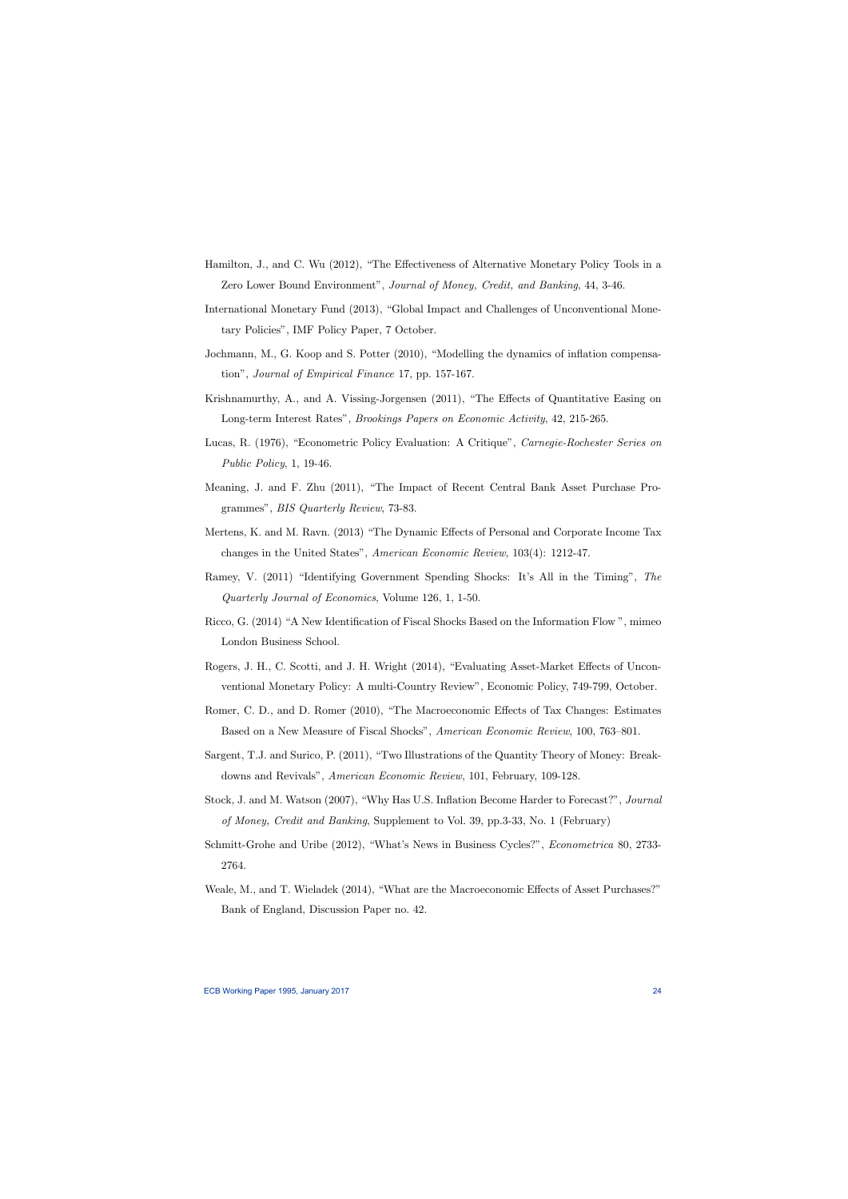- Hamilton, J., and C. Wu (2012), "The Effectiveness of Alternative Monetary Policy Tools in a Zero Lower Bound Environment", Journal of Money, Credit, and Banking, 44, 3-46.
- International Monetary Fund (2013), "Global Impact and Challenges of Unconventional Monetary Policies", IMF Policy Paper, 7 October.
- Jochmann, M., G. Koop and S. Potter (2010), "Modelling the dynamics of inflation compensation", Journal of Empirical Finance 17, pp. 157-167.
- Krishnamurthy, A., and A. Vissing-Jorgensen (2011), "The Effects of Quantitative Easing on Long-term Interest Rates", Brookings Papers on Economic Activity, 42, 215-265.
- Lucas, R. (1976), "Econometric Policy Evaluation: A Critique", Carnegie-Rochester Series on Public Policy, 1, 19-46.
- Meaning, J. and F. Zhu (2011), "The Impact of Recent Central Bank Asset Purchase Programmes", BIS Quarterly Review, 73-83.
- Mertens, K. and M. Ravn. (2013) "The Dynamic Effects of Personal and Corporate Income Tax changes in the United States", American Economic Review, 103(4): 1212-47.
- Ramey, V. (2011) "Identifying Government Spending Shocks: It's All in the Timing", The Quarterly Journal of Economics, Volume 126, 1, 1-50.
- Ricco, G. (2014) "A New Identification of Fiscal Shocks Based on the Information Flow ", mimeo London Business School.
- Rogers, J. H., C. Scotti, and J. H. Wright (2014), "Evaluating Asset-Market Effects of Unconventional Monetary Policy: A multi-Country Review", Economic Policy, 749-799, October.
- Romer, C. D., and D. Romer (2010), "The Macroeconomic Effects of Tax Changes: Estimates Based on a New Measure of Fiscal Shocks", American Economic Review, 100, 763—801.
- Sargent, T.J. and Surico, P. (2011), "Two Illustrations of the Quantity Theory of Money: Breakdowns and Revivals", American Economic Review, 101, February, 109-128.
- Stock, J. and M. Watson (2007), "Why Has U.S. Inflation Become Harder to Forecast?", Journal of Money, Credit and Banking, Supplement to Vol. 39, pp.3-33, No. 1 (February)
- Schmitt-Grohe and Uribe (2012), "What's News in Business Cycles?", Econometrica 80, 2733- 2764.
- Weale, M., and T. Wieladek (2014), "What are the Macroeconomic Effects of Asset Purchases?" Bank of England, Discussion Paper no. 42.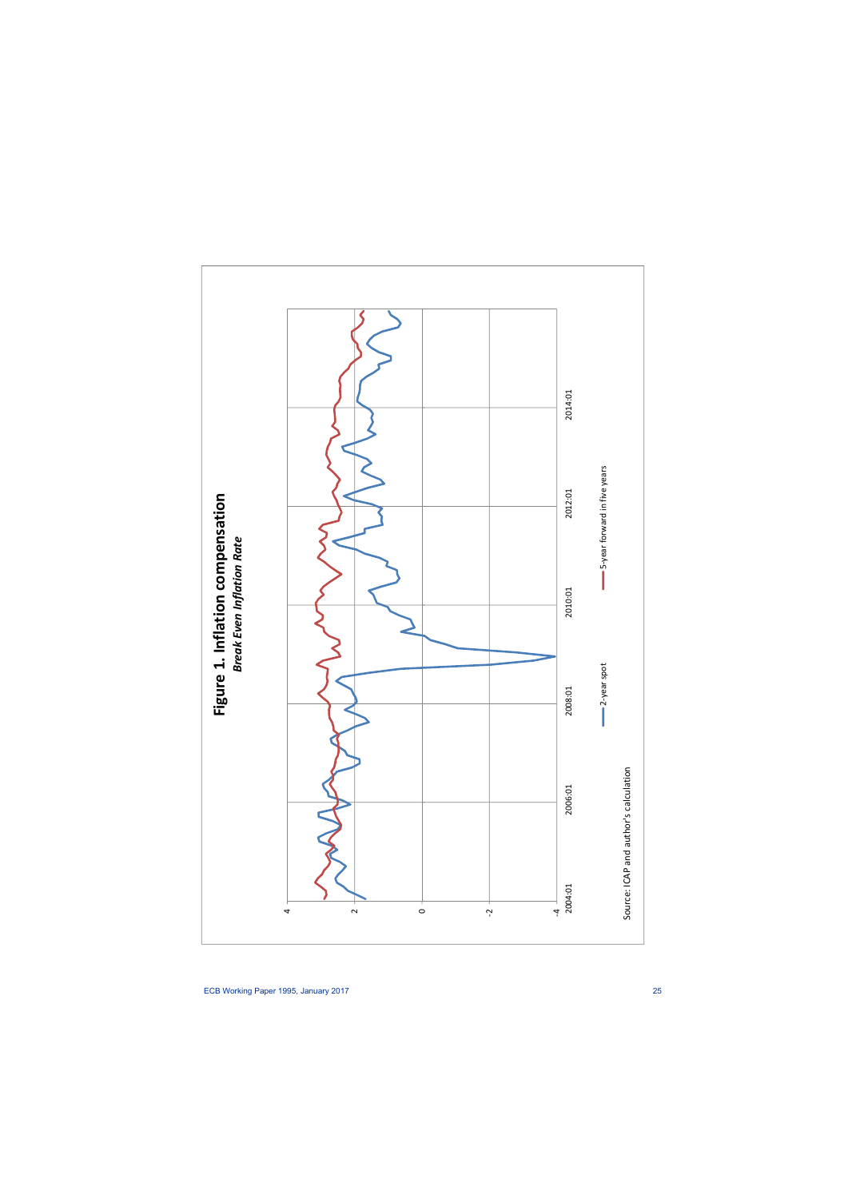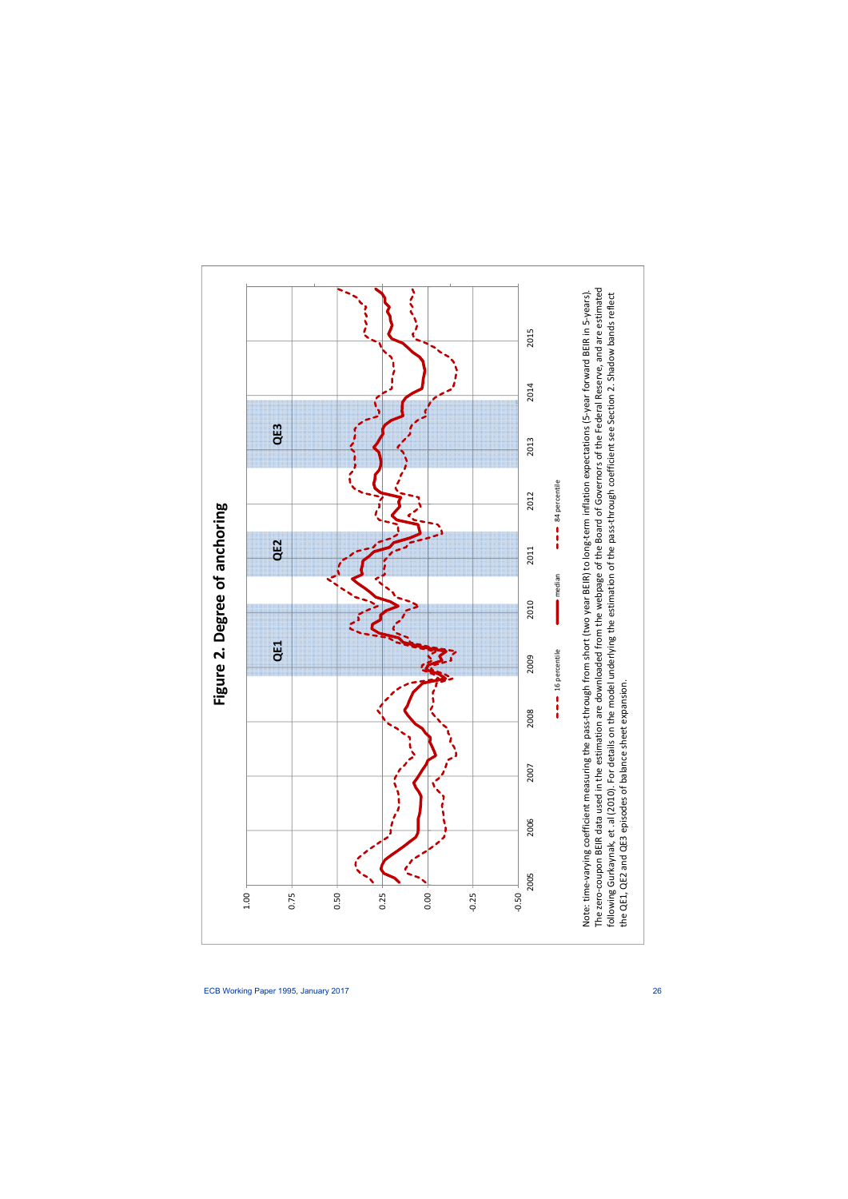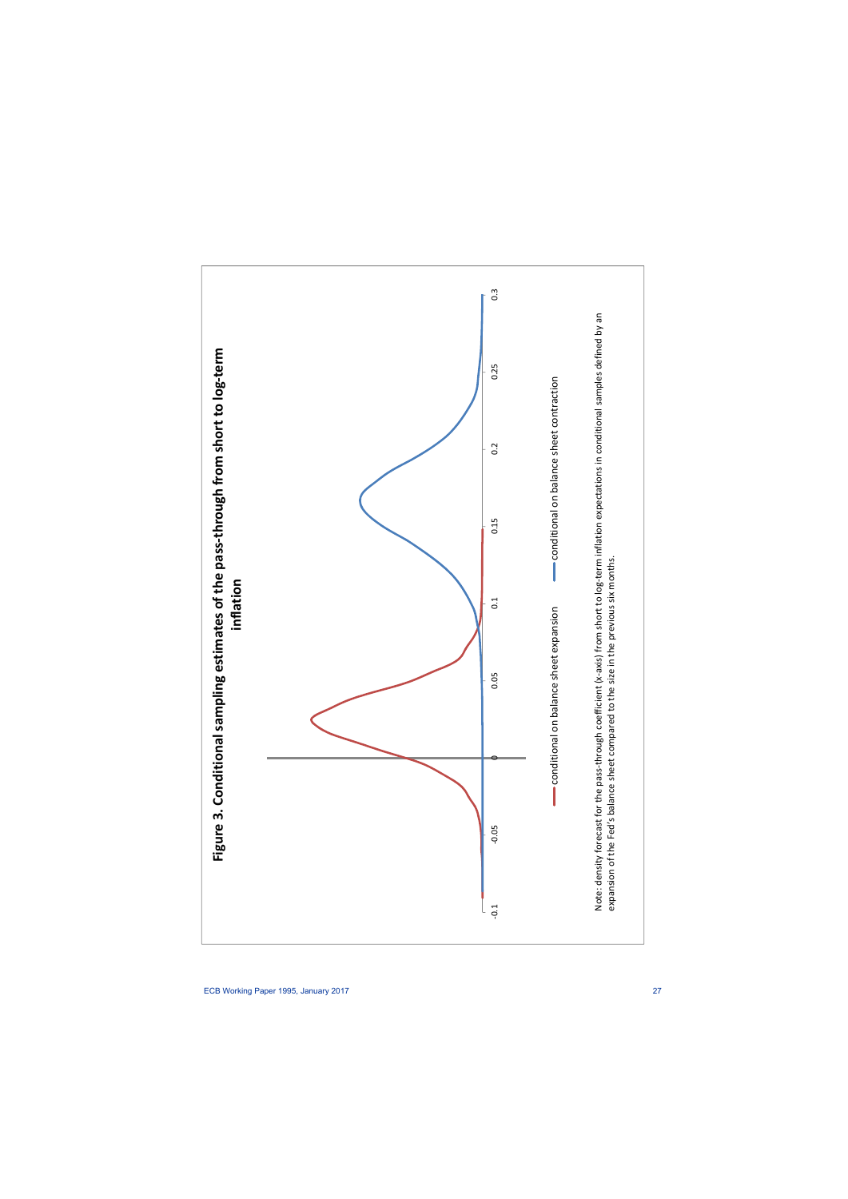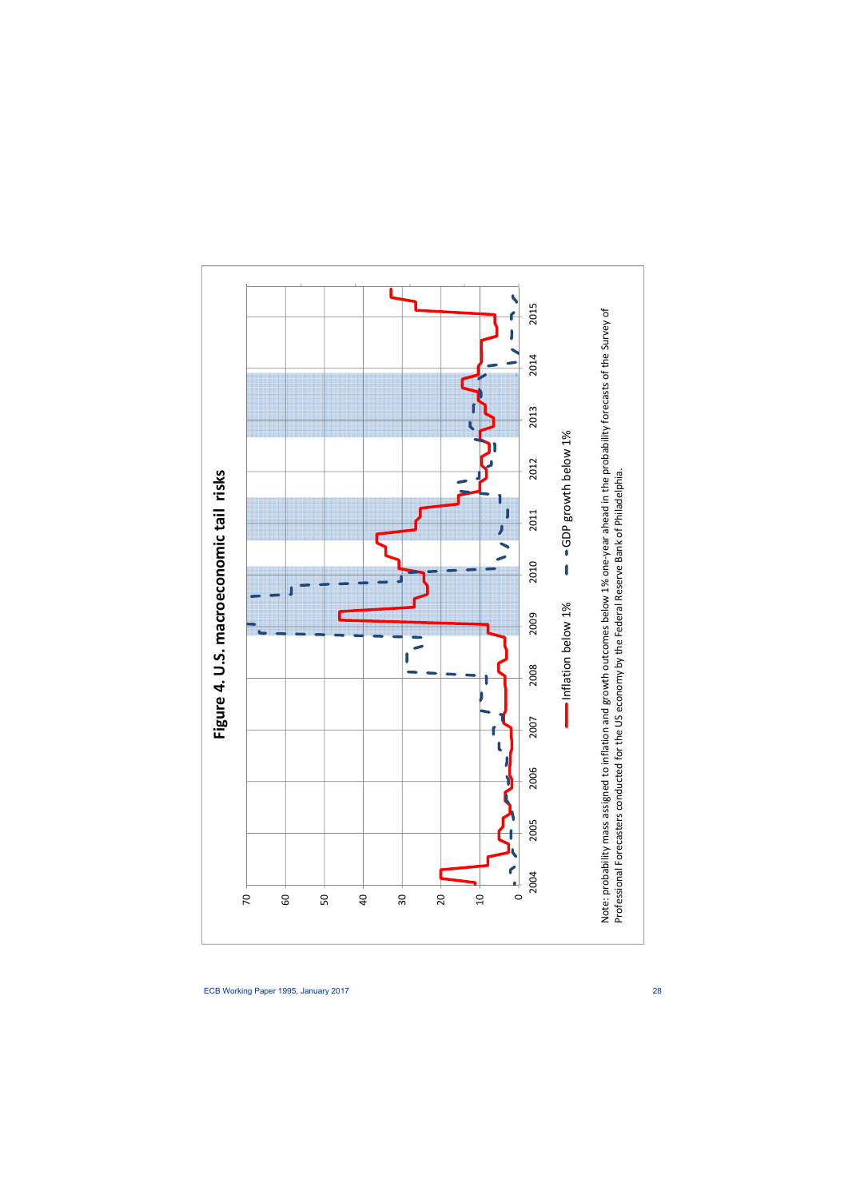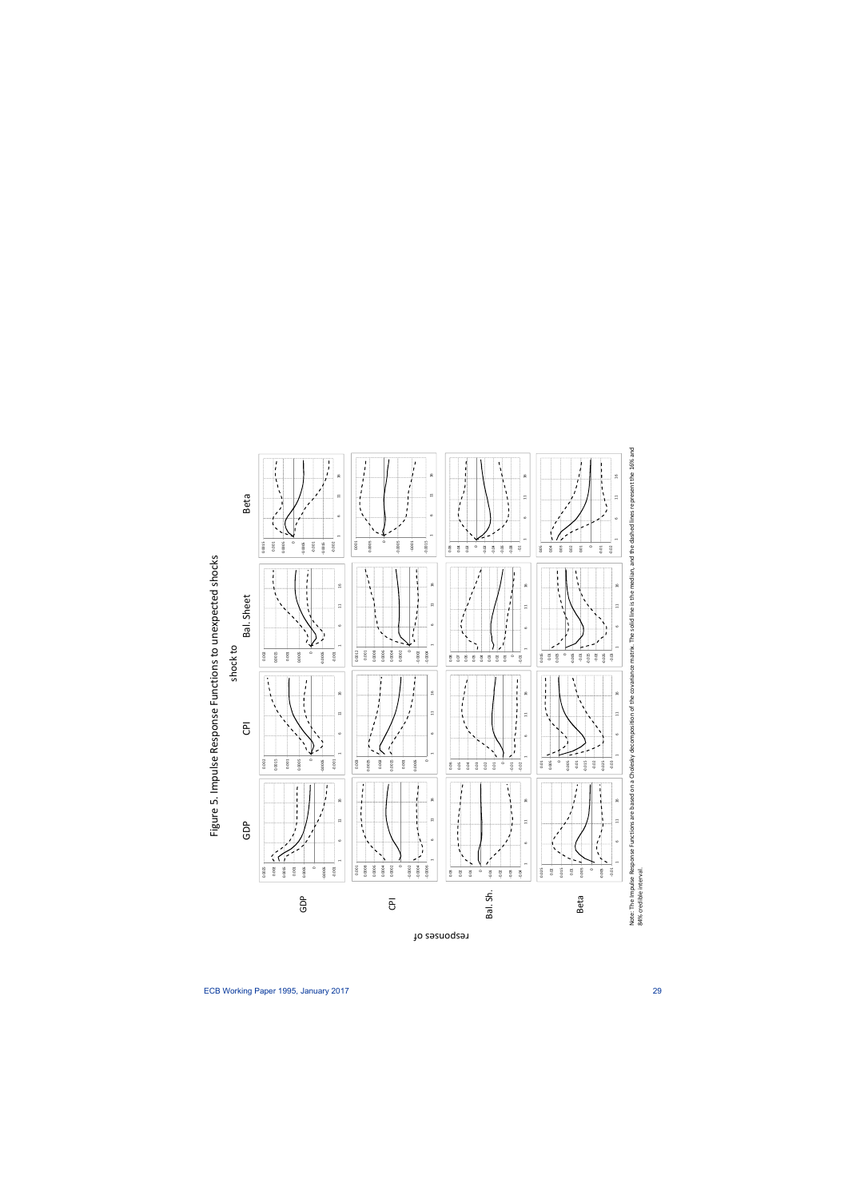

to responses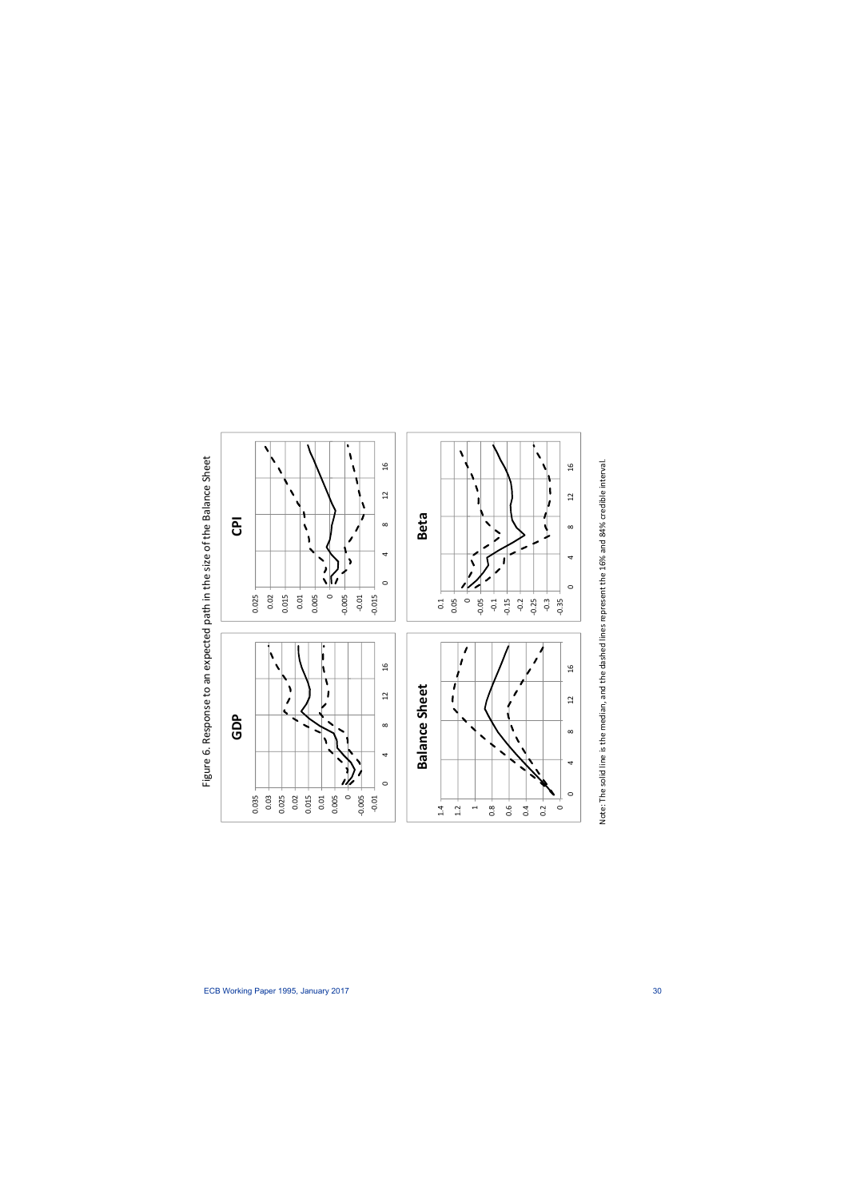



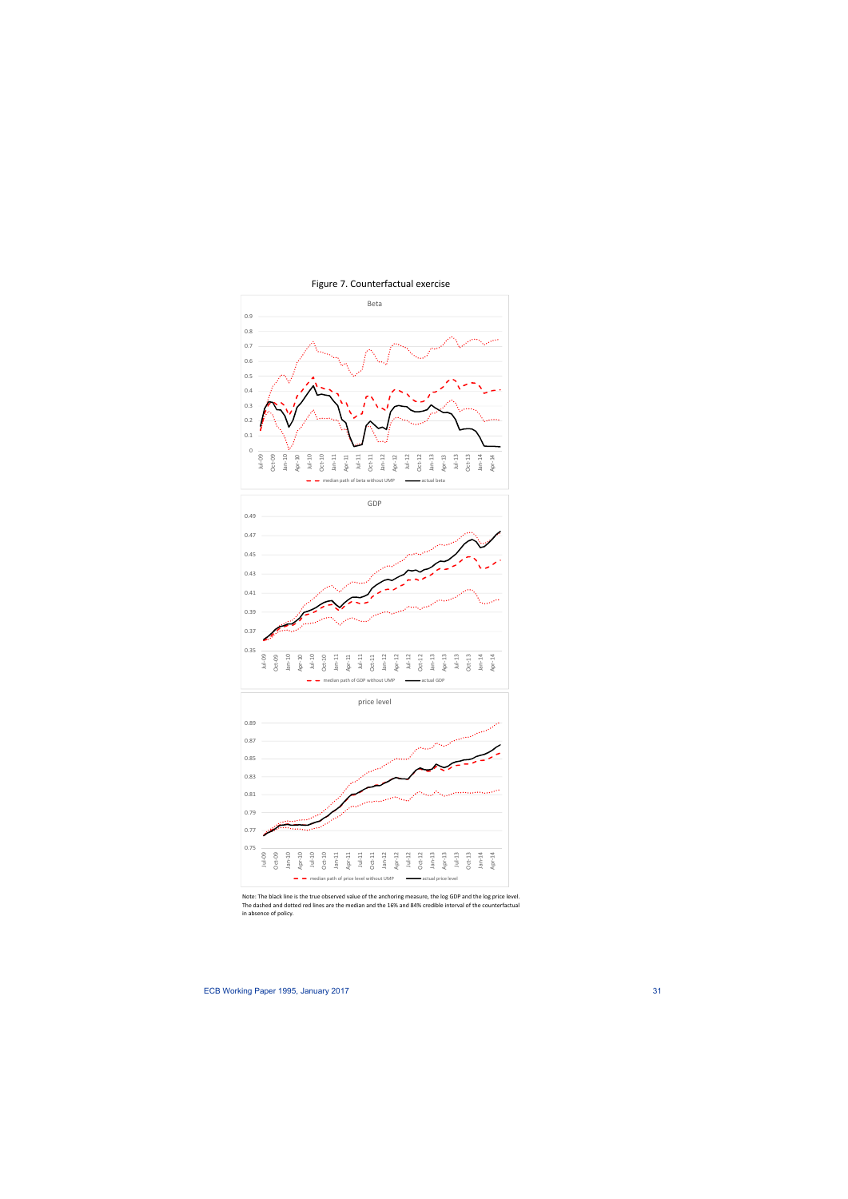

Figure 7. Counterfactual exercise

Note: The black line is the true observed value of the anchoring measure, the log GDP and the log price level. The dashed and dotted red lines are the median and the 16% and 84% credible interval of the counterfactual in absence of policy.